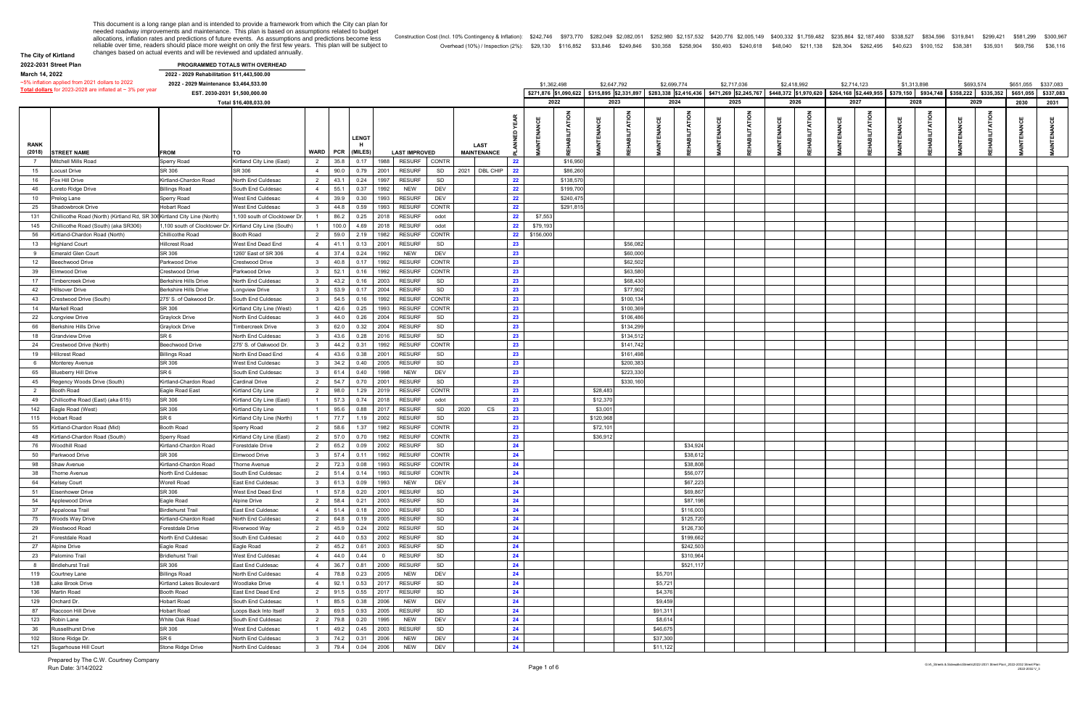**The City of Kirtland 2022-2031 Street Plan**

|           | 1,759,482 \$235,864 \$2,187,460 \$338,527 \$834,596 \$319,841 \$299,421 \$581,299 \$300,967 |  |          |          |          |
|-----------|---------------------------------------------------------------------------------------------|--|----------|----------|----------|
| \$211.138 | \$28.304 \$262.495 \$40.623 \$100.152 \$38.381                                              |  | \$35.931 | \$69.756 | \$36.116 |

|                | ZUZZ-ZUJI JUBBL FIAII                                                    |                                                         | <b>FROGRAMMED TOTALS WITH OVERHEAD</b> |                         |       |              |                       |              |                    |    |             |             |                                             |           |          |             |             |             |             |             |                                                                                                                                 |               |                     |
|----------------|--------------------------------------------------------------------------|---------------------------------------------------------|----------------------------------------|-------------------------|-------|--------------|-----------------------|--------------|--------------------|----|-------------|-------------|---------------------------------------------|-----------|----------|-------------|-------------|-------------|-------------|-------------|---------------------------------------------------------------------------------------------------------------------------------|---------------|---------------------|
| March 14, 2022 |                                                                          | 2022 - 2029 Rehabilitation \$11,443,500.00              |                                        |                         |       |              |                       |              |                    |    |             |             |                                             |           |          |             |             |             |             |             |                                                                                                                                 |               |                     |
|                | ~5% inflation applied from 2021 dollars to 2022                          | 2022 - 2029 Maintenance \$3,464,533.00                  |                                        |                         |       |              |                       |              |                    |    |             | \$1,362,498 | \$2,647,792                                 |           |          | \$2,699,774 | \$2,717,036 | \$2,418,992 | \$2,714,123 | \$1,313,898 | \$693,574                                                                                                                       |               | \$651,055 \$337,083 |
|                | Total dollars for 2023-2028 are inflated at $\sim$ 3% per year           |                                                         | EST. 2030-2031 \$1,500,000.00          |                         |       |              |                       |              |                    |    |             |             | \$271,876 \$1,090,622 \$315,895 \$2,331,897 |           |          |             |             |             |             |             | \$283,338 \$2,416,436 \$471,269 \$2,245,767 \$448,372 \$1,970,620 \$264,168 \$2,449,955 \$379,150 \$934,748 \$358,222 \$335,352 |               | \$651,055 \$337,083 |
|                |                                                                          |                                                         | Total \$16,408,033.00                  |                         |       |              |                       |              |                    |    |             | 2022        | 2023                                        |           |          | 2024        | 2025        | 2026        | 2027        | 2028        | 2029                                                                                                                            | 2030          | 2031                |
|                |                                                                          |                                                         |                                        |                         |       |              |                       |              |                    |    |             |             |                                             |           |          |             |             |             |             |             |                                                                                                                                 |               |                     |
| <b>RANK</b>    |                                                                          |                                                         |                                        | <b>WARD</b>             | PCR   | <b>LENGT</b> |                       |              | LAST               |    |             |             |                                             |           |          |             |             |             |             |             |                                                                                                                                 |               |                     |
| (2018)         | <b>STREET NAME</b>                                                       | <b>FROM</b>                                             | ΙTΟ                                    |                         |       | (MILES       | <b>LAST IMPROVED</b>  |              | <b>MAINTENANCE</b> |    |             |             |                                             |           |          |             |             |             |             |             |                                                                                                                                 |               |                     |
| $\overline{7}$ | Mitchell Mills Road                                                      | Sperry Road                                             | Kirtland City Line (East)              | $\overline{2}$          | 35.8  | 0.17         | 1988<br><b>RESURF</b> | CONTR        |                    | 22 |             | \$16,950    |                                             |           |          |             |             |             |             |             |                                                                                                                                 |               |                     |
| 15             | Locust Drive                                                             | SR 306                                                  | SR 306                                 | $\overline{4}$          | 90.0  | 0.79         | 2001<br><b>RESURF</b> | SD           | 2021 DBL CHIP      | 22 |             | \$86,26     |                                             |           |          |             |             |             |             |             |                                                                                                                                 |               |                     |
| 16             | Fox Hill Drive                                                           | Kirtland-Chardon Road                                   | North End Culdesac                     | $\overline{2}$          | 43.1  | 0.24         | 1997<br><b>RESURF</b> | SD           |                    | 22 |             | \$138,57    |                                             |           |          |             |             |             |             |             |                                                                                                                                 |               |                     |
| 46             | oreto Ridge Drive                                                        | <b>Billings Road</b>                                    | South End Culdesac                     | $\overline{4}$          | 55.1  | 0.37         | 1992<br><b>NEW</b>    | DEV          |                    | 22 |             | \$199,70    |                                             |           |          |             |             |             |             |             |                                                                                                                                 |               |                     |
| 10             |                                                                          |                                                         | West End Culdesac                      |                         | 39.9  | 0.30         | 1993<br><b>RESURF</b> | DEV          |                    | 22 |             | \$240,47    |                                             |           |          |             |             |             |             |             |                                                                                                                                 |               |                     |
|                | <sup>9</sup> relog Lane                                                  | Sperry Road                                             |                                        | 4                       |       |              |                       |              |                    |    |             |             |                                             |           |          |             |             |             |             |             |                                                                                                                                 |               |                     |
| 25             | Shadowbrook Drive                                                        | <b>Hobart Road</b>                                      | West End Culdesac                      | $\mathbf{R}$            | 44.8  | 0.59         | <b>RESURF</b><br>1993 | CONTR        |                    | 22 |             | \$291,81    |                                             |           |          |             |             |             |             |             |                                                                                                                                 |               |                     |
| 131            | Chillicothe Road (North) (Kirtland Rd, SR 306 Kirtland City Line (North) |                                                         | 1,100 south of Clocktower Dr.          |                         | 86.2  | 0.25         | 2018<br><b>RESURF</b> | odot         |                    | 22 | \$7,553     |             |                                             |           |          |             |             |             |             |             |                                                                                                                                 |               |                     |
| 145            | Chillicothe Road (South) (aka SR306)                                     | ,100 south of Clocktower Dr. Kirtland City Line (South) |                                        | $\overline{1}$          | 100.0 | 4.69         | 2018<br><b>RESURF</b> | odot         |                    | 22 | \$79,193    |             |                                             |           |          |             |             |             |             |             |                                                                                                                                 |               |                     |
| 56             | Kirtland-Chardon Road (North)                                            | Chillicothe Road                                        | <b>Booth Road</b>                      | $\overline{2}$          | 59.0  | 2.19         | 1982<br><b>RESURF</b> | <b>CONTR</b> |                    | 22 | \$156,000   |             |                                             |           |          |             |             |             |             |             |                                                                                                                                 |               |                     |
| 13             | <b>Highland Court</b>                                                    | Hillcrest Road                                          | West End Dead End                      | $\overline{4}$          | 41.1  | 0.13         | 2001<br><b>RESURF</b> | SD           |                    | 23 |             |             |                                             | \$56,08   |          |             |             |             |             |             |                                                                                                                                 |               |                     |
| 9              | <b>Emerald Glen Court</b>                                                | SR 306                                                  | 1260' East of SR 306                   | $\overline{4}$          | 37.4  | 0.24         | 1992<br><b>NEW</b>    | DEV          |                    | 23 |             |             |                                             | \$60,00   |          |             |             |             |             |             |                                                                                                                                 |               |                     |
|                |                                                                          |                                                         |                                        |                         |       |              |                       |              |                    |    |             |             |                                             |           |          |             |             |             |             |             |                                                                                                                                 |               |                     |
| 12             | eechwood Drive                                                           | Parkwood Drive                                          | Crestwood Drive                        | $\mathbf{3}$            | 40.8  | 0.17         | <b>RESURF</b><br>1992 | <b>CONTR</b> |                    | 23 |             |             |                                             | \$62,50   |          |             |             |             |             |             |                                                                                                                                 |               |                     |
| 39             | Elmwood Drive                                                            | Crestwood Drive                                         | Parkwood Drive                         | -3                      | 52.1  | 0.16         | 1992<br><b>RESURF</b> | CONTR        |                    | 23 |             |             |                                             | \$63,58   |          |             |             |             |             |             |                                                                                                                                 |               |                     |
| 17             | imbercreek Drive                                                         | <b>Berkshire Hills Drive</b>                            | North End Culdesac                     | $\mathbf{3}$            | 43.2  | 0.16         | 2003<br><b>RESURF</b> | SD           |                    | 23 |             |             |                                             | \$68,43   |          |             |             |             |             |             |                                                                                                                                 |               |                     |
| 42             | <b>Hillsover Drive</b>                                                   | <b>Berkshire Hills Drive</b>                            | <b>Longview Drive</b>                  | $\overline{\mathbf{3}}$ | 53.9  | 0.17         | 2004<br><b>RESURF</b> | SD           |                    | 23 |             |             |                                             | \$77,902  |          |             |             |             |             |             |                                                                                                                                 |               |                     |
| 43             | Crestwood Drive (South)                                                  | 275' S. of Oakwood Dr                                   | South End Culdesac                     | $\mathbf{3}$            | 54.5  | 0.16         | 1992<br><b>RESURF</b> | CONTR        |                    | 23 |             |             |                                             | \$100,13  |          |             |             |             |             |             |                                                                                                                                 |               |                     |
| 14             | Markell Road                                                             | SR 306                                                  | Kirtland City Line (West)              | $\overline{1}$          | 42.6  | 0.25         | <b>RESURF</b><br>1993 | <b>CONTR</b> |                    | 23 |             |             |                                             | \$100,36  |          |             |             |             |             |             |                                                                                                                                 |               |                     |
|                |                                                                          |                                                         |                                        |                         |       |              |                       | SD           |                    | 23 |             |             |                                             |           |          |             |             |             |             |             |                                                                                                                                 |               |                     |
| 22             | ongview Drive.                                                           | <b>Graylock Drive</b>                                   | North End Culdesac                     | $3^{\circ}$             | 44.0  | 0.26         | 2004<br><b>RESURF</b> |              |                    |    |             |             |                                             | \$106,486 |          |             |             |             |             |             |                                                                                                                                 |               |                     |
| 66             | Berkshire Hills Drive                                                    | <b>Graylock Drive</b>                                   | <b>Timbercreek Drive</b>               | $\overline{\mathbf{3}}$ | 62.0  | 0.32         | 2004<br><b>RESURF</b> | SD           |                    | 23 |             |             |                                             | \$134,29  |          |             |             |             |             |             |                                                                                                                                 |               |                     |
| 18             | <b>Grandview Drive</b>                                                   | SR <sub>6</sub>                                         | North End Culdesac                     | -3                      | 43.6  | 0.28         | 2016<br><b>RESURF</b> | SD           |                    | 23 |             |             |                                             | \$134,51  |          |             |             |             |             |             |                                                                                                                                 |               |                     |
| 24             | restwood Drive (North)                                                   | <b>Beechwood Drive</b>                                  | 275' S. of Oakwood Dr                  | $\overline{\mathbf{3}}$ | 44.2  | 0.31         | 1992<br><b>RESURF</b> | <b>CONTR</b> |                    | 23 |             |             |                                             | \$141,74  |          |             |             |             |             |             |                                                                                                                                 |               |                     |
| 19             | Hillcrest Road                                                           | <b>Billings Road</b>                                    | North End Dead End                     | $\overline{4}$          | 43.6  | 0.38         | 2001<br><b>RESURF</b> | SD           |                    | 23 |             |             |                                             | \$161,49  |          |             |             |             |             |             |                                                                                                                                 |               |                     |
| 6              | Monterey Avenue                                                          | SR 306                                                  | West End Culdesac                      | $3^{\circ}$             | 34.2  | 0.40         | 2005<br><b>RESURF</b> | SD           |                    | 23 |             |             |                                             | \$200,38  |          |             |             |             |             |             |                                                                                                                                 |               |                     |
|                |                                                                          |                                                         |                                        |                         |       |              |                       |              |                    |    |             |             |                                             |           |          |             |             |             |             |             |                                                                                                                                 |               |                     |
| 65             | <b>Blueberry Hill Drive</b>                                              | SR <sub>6</sub>                                         | South End Culdesac                     | $\mathbf{3}$            | 61.4  | 0.40         | 1998<br><b>NEW</b>    | DEV          |                    | 23 |             |             |                                             | \$223,33  |          |             |             |             |             |             |                                                                                                                                 |               |                     |
| 45             | Regency Woods Drive (South)                                              | Kirtland-Chardon Road                                   | Cardinal Drive                         | $\overline{2}$          | 54.7  | 0.70         | 2001<br><b>RESURF</b> | SD           |                    | 23 |             |             |                                             | \$330,16  |          |             |             |             |             |             |                                                                                                                                 |               |                     |
| $\overline{2}$ | <b>Booth Road</b>                                                        | Eagle Road East                                         | Kirtland City Line                     | $\overline{2}$          | 98.0  | 1.29         | 2019<br><b>RESURF</b> | <b>CONTR</b> |                    | 23 |             |             | \$28,48                                     |           |          |             |             |             |             |             |                                                                                                                                 |               |                     |
| 49             | Chillicothe Road (East) (aka 615)                                        | SR 306                                                  | Kirtland City Line (East)              | $\overline{1}$          | 57.3  | 0.74         | 2018<br><b>RESURF</b> | odot         |                    | 23 |             |             | \$12,37                                     |           |          |             |             |             |             |             |                                                                                                                                 |               |                     |
| 142            | Eagle Road (West)                                                        | SR 306                                                  | Kirtland City Line                     |                         | 95.6  | 0.88         | 2017<br><b>RESURF</b> | 2020<br>SD   | CS                 | 23 |             |             | \$3,00                                      |           |          |             |             |             |             |             |                                                                                                                                 |               |                     |
|                |                                                                          | SR <sub>6</sub>                                         |                                        | $\overline{1}$          | 77.7  |              | 2002<br><b>RESURF</b> | SD           |                    | 23 |             |             | \$120,968                                   |           |          |             |             |             |             |             |                                                                                                                                 |               |                     |
| 115            | Hobart Road                                                              |                                                         | Kirtland City Line (North)             |                         |       | 1.19         |                       |              |                    |    |             |             |                                             |           |          |             |             |             |             |             |                                                                                                                                 |               |                     |
| 55             | Kirtland-Chardon Road (Mid)                                              | <b>Booth Road</b>                                       | Sperry Road                            | $\overline{2}$          | 58.6  | 1.37         | 1982<br><b>RESURF</b> | CONTR        |                    | 23 |             |             | \$72,10                                     |           |          |             |             |             |             |             |                                                                                                                                 |               |                     |
| 48             | Kirtland-Chardon Road (South)                                            | Sperry Road                                             | Kirtland City Line (East)              | $\overline{2}$          | 57.0  | 0.70         | 1982<br><b>RESURF</b> | <b>CONTR</b> |                    | 23 |             |             | \$36,91                                     |           |          |             |             |             |             |             |                                                                                                                                 |               |                     |
| 76             | Woodhill Road                                                            | Kirtland-Chardon Road                                   | Forestdale Drive                       | $\overline{2}$          | 65.2  | 0.09         | 2002<br><b>RESURF</b> | SD           |                    | 24 |             |             |                                             |           |          | \$34,92     |             |             |             |             |                                                                                                                                 |               |                     |
| 50             | Parkwood Drive                                                           | SR 306                                                  | <b>Elmwood Drive</b>                   | $\overline{\mathbf{3}}$ | 57.4  | 0.11         | 1992<br><b>RESURF</b> | <b>CONTR</b> |                    | 24 |             |             |                                             |           |          | \$38,61     |             |             |             |             |                                                                                                                                 |               |                     |
| 98             | Shaw Avenue                                                              | Kirtland-Chardon Road                                   | Thorne Avenue                          | $\overline{2}$          | 72.3  |              | 0.08  1993  RESURF    | CONTR        |                    | 24 |             |             |                                             |           |          | \$38,80     |             |             |             |             |                                                                                                                                 |               |                     |
| 38             |                                                                          | North End Culdesac                                      | South End Culdesac                     | $\overline{2}$          | 51.4  | 0.14         | 1993 RESURF           | CONTR        |                    | 24 |             |             |                                             |           |          | \$56,07     |             |             |             |             |                                                                                                                                 |               |                     |
|                | Thorne Avenue                                                            |                                                         |                                        |                         |       |              |                       |              |                    |    |             |             |                                             |           |          |             |             |             |             |             |                                                                                                                                 |               |                     |
| 64             | Kelsey Court                                                             | Worell Road                                             | East End Culdesac                      | $\overline{\mathbf{3}}$ | 61.3  | 0.09         | 1993<br><b>NEW</b>    | DEV          |                    | 24 |             |             |                                             |           |          | \$67,223    |             |             |             |             |                                                                                                                                 |               |                     |
| 51             | <b>Eisenhower Drive</b>                                                  | SR 306                                                  | West End Dead End                      |                         | 57.8  | 0.20         | 2001<br><b>RESURF</b> | SD           |                    | 24 |             |             |                                             |           |          | \$69,86     |             |             |             |             |                                                                                                                                 |               |                     |
| 54             | Applewood Drive                                                          | Eagle Road                                              | <b>Alpine Drive</b>                    | 2                       | 58.4  | 0.21         | 2003<br><b>RESURF</b> | SD           |                    | 24 |             |             |                                             |           |          | \$87,198    |             |             |             |             |                                                                                                                                 |               |                     |
| 37             | Appaloosa Trail                                                          | <b>Birdlehurst Trail</b>                                | East End Culdesac                      | $\overline{4}$          | 51.4  | 0.18         | 2000<br><b>RESURF</b> | SD           |                    | 24 |             |             |                                             |           |          | \$116,003   |             |             |             |             |                                                                                                                                 |               |                     |
| 75             | Woods Way Drive                                                          | Kirtland-Chardon Road                                   | North End Culdesac                     | $\overline{2}$          | 64.8  | 0.19         | 2005<br><b>RESURF</b> | SD           |                    | 24 |             |             |                                             |           |          | \$125,720   |             |             |             |             |                                                                                                                                 |               |                     |
| 29             | Westwood Road                                                            | Forestdale Drive                                        | Riverwood Way                          | $\overline{2}$          | 45.9  | 0.24         | 2002<br><b>RESURF</b> | SD           |                    | 24 |             |             |                                             |           |          | \$126,730   |             |             |             |             |                                                                                                                                 |               |                     |
|                |                                                                          |                                                         |                                        |                         |       |              |                       |              |                    |    |             |             |                                             |           |          |             |             |             |             |             |                                                                                                                                 |               |                     |
| 21             | Forestdale Road                                                          | North End Culdesac                                      | South End Culdesac                     | $\overline{2}$          | 44.0  | 0.53         | 2002<br><b>RESURF</b> | SD           |                    | 24 |             |             |                                             |           |          | \$199,662   |             |             |             |             |                                                                                                                                 |               |                     |
| 27             | <b>Alpine Drive</b>                                                      | Eagle Road                                              | Eagle Road                             | $\overline{2}$          | 45.2  | 0.61         | 2003<br><b>RESURF</b> | SD           |                    | 24 |             |             |                                             |           |          | \$242,503   |             |             |             |             |                                                                                                                                 |               |                     |
| 23             | Palomino Trail                                                           | <b>Bridlehurst Trail</b>                                | West End Culdesac                      | $\overline{4}$          | 44.0  | 0.44         | <b>RESURF</b>         | SD           |                    | 24 |             |             |                                             |           |          | \$310,964   |             |             |             |             |                                                                                                                                 |               |                     |
| - 8            | <b>Bridlehurst Trail</b>                                                 | SR 306                                                  | East End Culdesac                      | $\overline{4}$          | 36.7  | 0.81         | 2000<br><b>RESURF</b> | SD           |                    | 24 |             |             |                                             |           |          | \$521,11    |             |             |             |             |                                                                                                                                 |               |                     |
| 119            | Courtney Lane                                                            | <b>Billings Road</b>                                    | North End Culdesac                     | $\overline{4}$          | 78.8  | 0.23         | 2005<br><b>NEW</b>    | DEV          |                    | 24 |             |             |                                             |           | \$5,701  |             |             |             |             |             |                                                                                                                                 |               |                     |
| 138            | Lake Brook Drive                                                         | Kirtland Lakes Boulevard                                | Woodlake Drive                         | $\overline{4}$          | 92.1  | 0.53         | 2017<br><b>RESURF</b> | SD           |                    | 24 |             |             |                                             |           | \$5,721  |             |             |             |             |             |                                                                                                                                 |               |                     |
| 136            | <b>Martin Road</b>                                                       | Booth Road                                              | East End Dead End                      | $\overline{2}$          | 91.5  | 0.55         | 2017<br><b>RESURF</b> | SD           |                    | 24 |             |             |                                             |           | \$4,376  |             |             |             |             |             |                                                                                                                                 |               |                     |
|                |                                                                          |                                                         |                                        |                         |       |              |                       |              |                    |    |             |             |                                             |           |          |             |             |             |             |             |                                                                                                                                 |               |                     |
| 129            | Orchard Dr.                                                              | <b>Hobart Road</b>                                      | South End Culdesac                     | $\overline{1}$          | 85.5  | 0.38         | 2006<br><b>NEW</b>    | DEV          |                    | 24 |             |             |                                             |           | \$9,459  |             |             |             |             |             |                                                                                                                                 |               |                     |
| 87             | Raccoon Hill Drive                                                       | Hobart Road                                             | Loops Back Into Itself                 | $3^{\circ}$             | 69.5  | 0.93         | 2005<br><b>RESURF</b> | SD           |                    | 24 |             |             |                                             |           | \$91,311 |             |             |             |             |             |                                                                                                                                 |               |                     |
| 123            | Robin Lane                                                               | White Oak Road                                          | South End Culdesac                     | $\overline{2}$          | 79.8  | 0.20         | 1995<br><b>NEW</b>    | DEV          |                    | 24 |             |             |                                             |           | \$8,614  |             |             |             |             |             |                                                                                                                                 |               |                     |
| 36             | <b>Russellhurst Drive</b>                                                | SR 306                                                  | West End Culdesac                      | $\overline{1}$          | 49.2  | 0.45         | 2003<br><b>RESURF</b> | SD           |                    | 24 |             |             |                                             |           | \$46,675 |             |             |             |             |             |                                                                                                                                 |               |                     |
| 102            | Stone Ridge Dr.                                                          | SR <sub>6</sub>                                         | North End Culdesac                     | $\mathbf{3}$            | 74.2  | 0.31         | 2006<br><b>NEW</b>    | DEV          |                    | 24 |             |             |                                             |           | \$37,300 |             |             |             |             |             |                                                                                                                                 |               |                     |
| 121            | Sugarhouse Hill Court                                                    | Stone Ridge Drive                                       | North End Culdesac                     |                         | 79.4  | 0.04         | 2006<br><b>NEW</b>    | DEV          |                    | 24 |             |             |                                             |           | \$11,122 |             |             |             |             |             |                                                                                                                                 |               |                     |
|                |                                                                          |                                                         |                                        |                         |       |              |                       |              |                    |    |             |             |                                             |           |          |             |             |             |             |             |                                                                                                                                 |               |                     |
|                | Prepared by The C.W. Courtney Company<br>Run Date: 3/14/2022             |                                                         |                                        |                         |       |              |                       |              |                    |    | Page 1 of 6 |             |                                             |           |          |             |             |             |             |             | G:\4\_Streets & Sidewalks\Streets\2022-2031 Street Plan\_2022-2032 Street Plan                                                  | 2022-2032 V 3 |                     |

This document is a long range plan and is intended to provide a framework from which the City can plan for<br>needed roadway improvements and maintenance. This plan is based on assumptions related to budget<br>allocations, infla

**PROGRAMMED TOTALS WITH OVERHEAD**

Construction Cost (Incl. 10% Contingency & Inflation): \$242,746 \$973,770 \$282,049 \$2,082,051 \$252,980 \$2,157,532 \$420,776 \$2,005,149 \$400,332 \$1,759,482 \$235,864 \$2,187,460 \$338,527 \$834,596 \$319,841 \$299,421 \$581,299 \$300 Overhead (10%) / Inspection (2%): \$29,130 \$116,852 \$33,846 \$249,846 \$20,558 \$258,904 \$50,493 \$240,618 \$48,040 \$211,138 \$28,304 \$262,495 \$26,924 \$100,152 \$38,381 \$35,931 \$69,756 \$36,116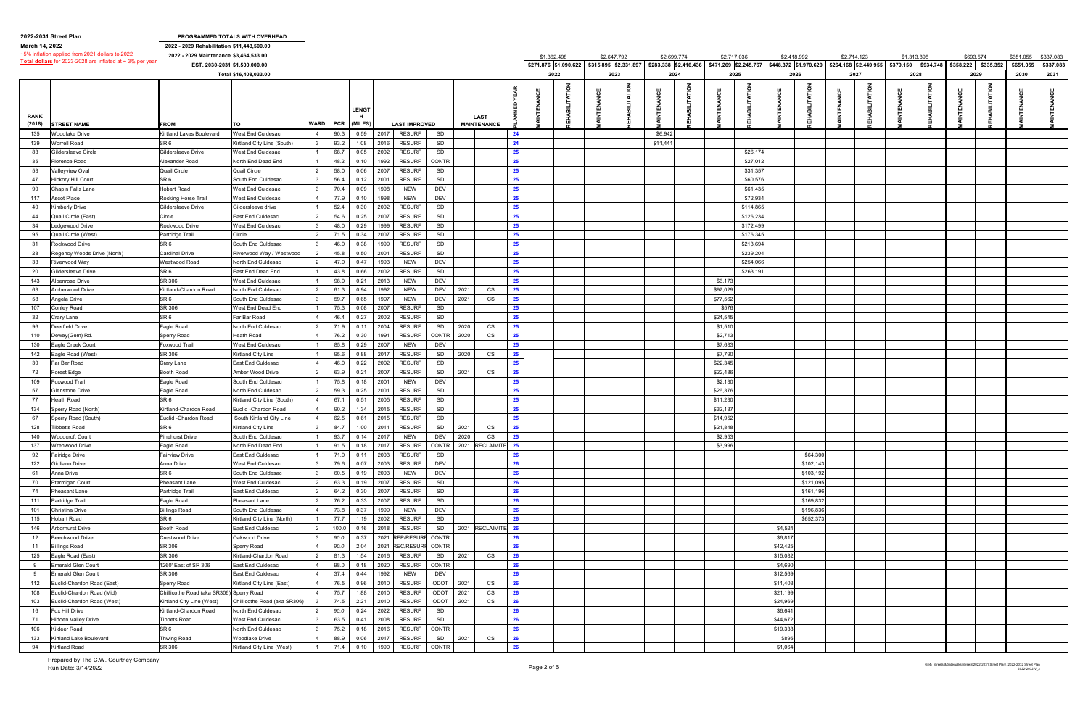|                | 2022-2031 Street Plan                                          |                                            | PROGRAMMED TOTALS WITH OVERHEAD |                         |       |                  |      |                       |             |         |                                   |    |                                             |   |             |          |                                             |             |          |             |                                                            |             |             |           |                     |           |                     |
|----------------|----------------------------------------------------------------|--------------------------------------------|---------------------------------|-------------------------|-------|------------------|------|-----------------------|-------------|---------|-----------------------------------|----|---------------------------------------------|---|-------------|----------|---------------------------------------------|-------------|----------|-------------|------------------------------------------------------------|-------------|-------------|-----------|---------------------|-----------|---------------------|
| March 14, 2022 |                                                                | 2022 - 2029 Rehabilitation \$11,443,500.00 |                                 |                         |       |                  |      |                       |             |         |                                   |    |                                             |   |             |          |                                             |             |          |             |                                                            |             |             |           |                     |           |                     |
|                | ~5% inflation applied from 2021 dollars to 2022                | 2022 - 2029 Maintenance \$3,464,533.00     |                                 |                         |       |                  |      |                       |             |         |                                   |    | \$1,362,498                                 |   | \$2,647,792 |          | \$2,699,774                                 | \$2,717,036 |          | \$2,418,992 |                                                            | \$2,714,123 | \$1,313,898 |           | \$693,574           |           | \$651,055 \$337,083 |
|                | Total dollars for 2023-2028 are inflated at $\sim$ 3% per year | EST. 2030-2031 \$1,500,000.00              |                                 |                         |       |                  |      |                       |             |         |                                   |    | \$271,876 \$1,090,622 \$315,895 \$2,331,897 |   |             |          | \$283,338 \$2,416,436 \$471,269 \$2,245,767 |             |          |             | $$448,372$ $$1,970,620$ $$264,168$ $$2,449,955$ $$379,150$ |             |             | \$934,748 | \$358,222 \$335,352 | \$651,055 | \$337,083           |
|                |                                                                |                                            | Total \$16,408,033.00           |                         |       |                  |      |                       |             |         |                                   |    | 2022                                        |   | 2023        |          | 2024                                        |             | 2025     |             | 2026                                                       | 2027        | 2028        |           | 2029                | 2030      | 2031                |
|                |                                                                |                                            |                                 |                         |       |                  |      |                       |             |         |                                   |    |                                             |   |             |          |                                             |             |          |             |                                                            |             |             |           |                     |           |                     |
| <b>RANK</b>    |                                                                |                                            |                                 | WARD                    | PCR   | LENGT<br>(MILES) |      |                       |             |         | <b>LAST</b><br><b>MAINTENANCE</b> |    |                                             | 쁑 |             |          |                                             |             |          | 쁑           | <b>ATION</b><br>E                                          |             | 쁑           |           |                     |           |                     |
| (2018)         | <b>STREET NAME</b>                                             | <b>FROM</b>                                | то                              |                         |       |                  |      | <b>LAST IMPROVED</b>  |             |         |                                   |    |                                             |   |             |          |                                             |             |          |             |                                                            |             |             |           |                     |           |                     |
| 135            | Voodlake Drive                                                 | Kirtland Lakes Boulevard                   | West End Culdesac               | $\overline{4}$          | 90.3  | 0.59             | 2017 | <b>RESURF</b>         | SD          |         |                                   | 24 |                                             |   |             | \$6,942  |                                             |             |          |             |                                                            |             |             |           |                     |           |                     |
| 139            | Vorrell Road                                                   | SR <sub>6</sub>                            | Kirtland City Line (South)      | $\overline{\mathbf{3}}$ | 93.2  | 1.08             | 2016 | <b>RESURF</b>         | SD          |         |                                   | 24 |                                             |   |             | \$11,44' |                                             |             |          |             |                                                            |             |             |           |                     |           |                     |
| 83             | iildersleeve Circle                                            | Gildersleeve Drive                         | <b>Nest End Culdesac</b>        | $\overline{1}$          | 68.7  | 0.05             | 2002 | <b>RESURF</b>         | SD          |         |                                   | 25 |                                             |   |             |          |                                             |             | \$26,17  |             |                                                            |             |             |           |                     |           |                     |
| 35             | lorence Road                                                   | Alexander Road                             | North End Dead End              | $\overline{1}$          | 48.2  | 0.10             | 1992 | <b>RESURF</b>         | CONTR       |         |                                   | 25 |                                             |   |             |          |                                             |             | \$27,01  |             |                                                            |             |             |           |                     |           |                     |
| 53             | 'alleyview Oval                                                | <b>Quail Circle</b>                        | Quail Circle                    | $\overline{2}$          | 58.0  | 0.06             | 2007 | <b>RESURF</b>         | SD          |         |                                   | 25 |                                             |   |             |          |                                             |             | \$31,35  |             |                                                            |             |             |           |                     |           |                     |
| 47             | lickory Hill Court                                             | SR <sub>6</sub>                            | South End Culdesac              | $3^{\circ}$             | 56.4  | 0.12             | 2001 | <b>RESURF</b>         | SD          |         |                                   | 25 |                                             |   |             |          |                                             |             | \$60,57  |             |                                                            |             |             |           |                     |           |                     |
| 90             | Chapin Falls Lane                                              | <b>Hobart Road</b>                         | <b>Nest End Culdesac</b>        | $\overline{\mathbf{3}}$ | 70.4  | 0.09             | 1998 | <b>NEW</b>            | DEV         |         |                                   | 25 |                                             |   |             |          |                                             |             | \$61,43  |             |                                                            |             |             |           |                     |           |                     |
| 117            | Ascot Place                                                    | Rocking Horse Trail                        | West End Culdesac               | $\overline{4}$          | 77.9  | 0.10             | 1998 | <b>NEW</b>            | DEV         |         |                                   | 25 |                                             |   |             |          |                                             |             | \$72,93  |             |                                                            |             |             |           |                     |           |                     |
| 40             | imberly Drive                                                  | Gildersleeve Drive                         | Gildersleeve drive              | $\overline{1}$          | 52.4  | 0.30             | 2002 | <b>RESURF</b>         | SD          |         |                                   | 25 |                                             |   |             |          |                                             |             | \$114,86 |             |                                                            |             |             |           |                     |           |                     |
| 44             | Quail Circle (East)                                            | Circle                                     | East End Culdesac               | $\overline{2}$          | 54.6  | 0.25             | 2007 | <b>RESURF</b>         | SD          |         |                                   | 25 |                                             |   |             |          |                                             |             | \$126,23 |             |                                                            |             |             |           |                     |           |                     |
| 34             | edgewood Drive                                                 | Rockwood Drive                             | West End Culdesac               | $\overline{\mathbf{3}}$ | 48.0  | 0.29             | 1999 | <b>RESURF</b>         | SD          |         |                                   | 25 |                                             |   |             |          |                                             |             | \$172,49 |             |                                                            |             |             |           |                     |           |                     |
| 95             | Quail Circle (West)                                            | Partridge Trail                            | Circle                          | $\overline{2}$          |       | 0.34             | 2007 | <b>RESURF</b>         | SD          |         |                                   | 25 |                                             |   |             |          |                                             |             | \$176,34 |             |                                                            |             |             |           |                     |           |                     |
| 31             | Rockwood Drive                                                 | SR <sub>6</sub>                            | South End Culdesac              | $\overline{\mathbf{3}}$ | 46.0  | 0.38             | 1999 | <b>RESURF</b>         | SD          |         |                                   | 25 |                                             |   |             |          |                                             |             | \$213,69 |             |                                                            |             |             |           |                     |           |                     |
|                |                                                                |                                            |                                 |                         |       |                  |      |                       | SD          |         |                                   |    |                                             |   |             |          |                                             |             |          |             |                                                            |             |             |           |                     |           |                     |
| 28             | legency Woods Drive (North)                                    | <b>Cardinal Drive</b>                      | Riverwood Way / Westwood        | $\overline{2}$          | 45.8  | 0.50             | 2001 | <b>RESURF</b>         |             |         |                                   | 25 |                                             |   |             |          |                                             |             | \$239,20 |             |                                                            |             |             |           |                     |           |                     |
| 33             | Riverwood Waγ                                                  | Westwood Road                              | North End Culdesac              | 2                       | 47.0  | 0.47             | 1993 | <b>NEW</b>            | DEV         |         |                                   | 25 |                                             |   |             |          |                                             |             | \$254,06 |             |                                                            |             |             |           |                     |           |                     |
| 20             | iildersleeve Drive                                             | SR <sub>6</sub>                            | East End Dead End               | $\overline{1}$          | 43.8  | 0.66             | 2002 | <b>RESURF</b>         | SD          |         |                                   | 25 |                                             |   |             |          |                                             |             | \$263,19 |             |                                                            |             |             |           |                     |           |                     |
| 143            | Npenrose Drive                                                 | SR 306                                     | West End Culdesac               | $\overline{1}$          | 98.0  | 0.21             | 2013 | <b>NEW</b>            | <b>DEV</b>  |         |                                   | 25 |                                             |   |             |          |                                             | \$6,17      |          |             |                                                            |             |             |           |                     |           |                     |
| 63             | Amberwood Drive                                                | Kirtland-Chardon Road                      | North End Culdesac              | $\overline{2}$          | 61.3  | 0.94             | 1992 | <b>NEW</b>            | DEV         | 2021    | CS                                | 25 |                                             |   |             |          |                                             | \$97,029    |          |             |                                                            |             |             |           |                     |           |                     |
| 58             | Angela Drive                                                   | SR <sub>6</sub>                            | South End Culdesac              | $\overline{\mathbf{3}}$ | 59.7  | 0.65             | 1997 | <b>NEW</b>            | DEV         | 2021    | CS                                | 25 |                                             |   |             |          |                                             | \$77,562    |          |             |                                                            |             |             |           |                     |           |                     |
| 107            | Conley Road                                                    | SR 306                                     | West End Dead End               | $\overline{1}$          | 75.3  | 0.08             | 2007 | <b>RESURF</b>         | SD          |         |                                   | 25 |                                             |   |             |          |                                             | \$576       |          |             |                                                            |             |             |           |                     |           |                     |
| 32             | ;rary Lane                                                     | SR <sub>6</sub>                            | Far Bar Road                    | $\overline{4}$          | 46.4  | 0.27             | 2002 | <b>RESURF</b>         | SD          |         |                                   | 25 |                                             |   |             |          |                                             | \$24,545    |          |             |                                                            |             |             |           |                     |           |                     |
| 96             | eerfield Drive                                                 | Eagle Road                                 | North End Culdesac              | 2                       | 71.9  | 0.11             | 2004 | <b>RESURF</b>         | SD          | 2020    | CS                                | 25 |                                             |   |             |          |                                             | \$1,510     |          |             |                                                            |             |             |           |                     |           |                     |
| 110            | )ewey(Gem) Rd.                                                 | Sperry Road                                | <b>Heath Road</b>               | $\overline{4}$          | 76.2  | 0.30             | 1991 | <b>RESURF</b>         | CONTR 2020  |         | CS                                | 25 |                                             |   |             |          |                                             | \$2,713     |          |             |                                                            |             |             |           |                     |           |                     |
| 130            | Eagle Creek Court                                              | Foxwood Trail                              | West End Culdesac               | $\overline{1}$          | 85.8  | 0.29             | 2007 | <b>NEW</b>            | <b>DEV</b>  |         |                                   | 25 |                                             |   |             |          |                                             | \$7,683     |          |             |                                                            |             |             |           |                     |           |                     |
| 142            | agle Road (West)                                               | SR 306                                     | <b>Kirtland City Line</b>       | $\overline{1}$          | 95.6  | 0.88             | 2017 | <b>RESURF</b>         | SD          | 2020    | CS                                | 25 |                                             |   |             |          |                                             | \$7,790     |          |             |                                                            |             |             |           |                     |           |                     |
| 30             | ar Bar Road                                                    | Crary Lane                                 | East End Culdesac               | $\overline{4}$          | 46.0  | 0.22             | 2002 | <b>RESURF</b>         | SD          |         |                                   | 25 |                                             |   |             |          |                                             | \$22,345    |          |             |                                                            |             |             |           |                     |           |                     |
| 72             | orest Edge                                                     | <b>Booth Road</b>                          | Amber Wood Drive                | $\overline{2}$          | 63.9  | 0.21             | 2007 | <b>RESURF</b>         | SD          | 2021    | CS                                | 25 |                                             |   |             |          |                                             | \$22,486    |          |             |                                                            |             |             |           |                     |           |                     |
| 109            | oxwood Trail                                                   | Eagle Road                                 | South End Culdesac              | $\overline{1}$          | 75.8  | 0.18             | 2001 | <b>NEW</b>            | DEV         |         |                                   | 25 |                                             |   |             |          |                                             | \$2,130     |          |             |                                                            |             |             |           |                     |           |                     |
| 57             | ilenstone Drive                                                | Eagle Road                                 | North End Culdesac              | $\overline{2}$          | 59.3  | 0.25             | 2001 | <b>RESURF</b>         | SD          |         |                                   | 25 |                                             |   |             |          |                                             | \$26,37     |          |             |                                                            |             |             |           |                     |           |                     |
| 77             | leath Road                                                     | SR <sub>6</sub>                            | Kirtland City Line (South]      | $\overline{4}$          | 67.1  | 0.51             | 2005 | <b>RESURF</b>         | SD          |         |                                   | 25 |                                             |   |             |          |                                             | \$11,230    |          |             |                                                            |             |             |           |                     |           |                     |
| 134            | perry Road (North)                                             | Kirtland-Chardon Road                      | Euclid -Chardon Road            | $\overline{4}$          | 90.2  | 1.34             | 2015 | <b>RESURF</b>         | SD          |         |                                   | 25 |                                             |   |             |          |                                             | \$32,137    |          |             |                                                            |             |             |           |                     |           |                     |
| 67             |                                                                | Euclid - Chardon Road                      |                                 | $\overline{4}$          | 62.5  | 0.61             | 2015 | <b>RESURF</b>         | SD          |         |                                   | 25 |                                             |   |             |          |                                             | \$14,95     |          |             |                                                            |             |             |           |                     |           |                     |
|                | perry Road (South)                                             |                                            | South Kirtland City Line        |                         |       |                  |      |                       |             |         |                                   |    |                                             |   |             |          |                                             |             |          |             |                                                            |             |             |           |                     |           |                     |
| 128            | Tibbetts Road                                                  | SR <sub>6</sub>                            | Kirtland City Line              | $\overline{\mathbf{3}}$ | 84.7  | 1.00             | 2011 | <b>RESURF</b>         | SD          | 2021    | CS                                | 25 |                                             |   |             |          |                                             | \$21,848    |          |             |                                                            |             |             |           |                     |           |                     |
| 140            | <b>Woodcroft Court</b>                                         | <b>Pinehurst Drive</b>                     | South End Culdesac              |                         | 93.7  | 0.14             | 2017 | <b>NEW</b>            | DEV         | 2020    | CS                                | 25 |                                             |   |             |          |                                             | \$2,953     |          |             |                                                            |             |             |           |                     |           |                     |
| 137            | <b>Wrenwood Drive</b>                                          | Eagle Road                                 | North End Dead End              | $\overline{1}$          | 91.5  | 0.18             | 2017 | <b>RESURF</b>         |             |         | CONTR 2021 RECLAIMITE 25          |    |                                             |   |             |          |                                             | \$3,996     |          |             |                                                            |             |             |           |                     |           |                     |
| 92             | airidge Drive                                                  | <b>Fairview Drive</b>                      | East End Culdesac               | $\overline{1}$          | 71.0  | 0.11             | 2003 | <b>RESURF</b>         | SD          |         |                                   | 26 |                                             |   |             |          |                                             |             |          |             | \$64,300                                                   |             |             |           |                     |           |                     |
| 122            | Giuliano Drive                                                 | Anna Drive                                 | West End Culdesac               | $\overline{\mathbf{3}}$ | 79.6  | 0.07             | 2003 | <b>RESURF</b>         | DEV         |         |                                   | 26 |                                             |   |             |          |                                             |             |          |             | \$102,143                                                  |             |             |           |                     |           |                     |
| 61             | Anna Drive                                                     | SR <sub>6</sub>                            | South End Culdesac              | $\mathbf{3}$            | 60.5  | 0.19             | 2003 | <b>NEW</b>            | <b>DEV</b>  |         |                                   | 26 |                                             |   |             |          |                                             |             |          |             | \$103,192                                                  |             |             |           |                     |           |                     |
| 70             | <sup>9</sup> tarmigan Court                                    | Pheasant Lane                              | <b>Nest End Culdesac</b>        | $\overline{2}$          | 63.3  | 0.19             | 2007 | <b>RESURF</b>         | SD          |         |                                   | 26 |                                             |   |             |          |                                             |             |          |             | \$121,095                                                  |             |             |           |                     |           |                     |
| 74             | Pheasant Lane                                                  | Partridge Trail                            | East End Culdesac               | 2                       | 64.2  | 0.30             | 2007 | <b>RESURF</b>         | SD          |         |                                   | 26 |                                             |   |             |          |                                             |             |          |             | \$161,196                                                  |             |             |           |                     |           |                     |
| 111            | Partridge Trail                                                | Eagle Road                                 | Pheasant Lane                   | 2                       | 76.2  | 0.33             | 2007 | <b>RESURF</b>         | SD          |         |                                   | 26 |                                             |   |             |          |                                             |             |          |             | \$169,832                                                  |             |             |           |                     |           |                     |
| 101            | Christina Drive                                                | <b>Billings Road</b>                       | South End Culdesac              | $\overline{4}$          | 73.8  | 0.37             | 1999 | <b>NEW</b>            | DEV         |         |                                   | 26 |                                             |   |             |          |                                             |             |          |             | \$196,836                                                  |             |             |           |                     |           |                     |
| 115            | <b>Hobart Road</b>                                             | SR <sub>6</sub>                            | Kirtland City Line (North)      | $\overline{1}$          | 77.7  | 1.19             | 2002 | <b>RESURF</b>         | SD          |         |                                   | 26 |                                             |   |             |          |                                             |             |          |             | \$652,373                                                  |             |             |           |                     |           |                     |
| 146            | Arborhurst Drive                                               | Booth Road                                 | East End Culdesac               | 2                       | 100.0 | 0.16             | 2018 | <b>RESURF</b>         |             |         | SD 2021 RECLAIMITE 26             |    |                                             |   |             |          |                                             |             |          | \$4,524     |                                                            |             |             |           |                     |           |                     |
| 12             | Beechwood Drive                                                | Crestwood Drive                            | Oakwood Drive                   | $\overline{\mathbf{3}}$ | 90.0  | 0.37             | 2021 | REP/RESURF CONTR      |             |         |                                   | 26 |                                             |   |             |          |                                             |             |          | \$6,817     |                                                            |             |             |           |                     |           |                     |
| 11             | Billings Road                                                  | SR 306                                     | Sperry Road                     | $\overline{4}$          | 90.0  | 2.04             |      | 2021 REC/RESURF CONTR |             |         |                                   | 26 |                                             |   |             |          |                                             |             |          | \$42,425    |                                                            |             |             |           |                     |           |                     |
| 125            | Eagle Road (East)                                              | SR 306                                     | Kirtland-Chardon Road           | $\overline{2}$          | 81.3  | 1.54             | 2016 | <b>RESURF</b>         |             | SD 2021 | CS                                | 26 |                                             |   |             |          |                                             |             |          | \$15,082    |                                                            |             |             |           |                     |           |                     |
| 9              | merald Glen Court                                              | 1260' East of SR 306                       | East End Culdesac               | $\overline{4}$          | 98.0  | 0.18             | 2020 | <b>RESURF</b>         | CONTR       |         |                                   | 26 |                                             |   |             |          |                                             |             |          | \$4,690     |                                                            |             |             |           |                     |           |                     |
| 9              | Emerald Glen Court                                             | SR 306                                     | East End Culdesac               | $\overline{4}$          | 37.4  | 0.44             | 1992 | <b>NEW</b>            | DEV         |         |                                   | 26 |                                             |   |             |          |                                             |             |          | \$12,569    |                                                            |             |             |           |                     |           |                     |
| 112            | Euclid-Chardon Road (East)                                     | Sperry Road                                | Kirtland City Line (East)       | $\overline{4}$          | 76.5  | 0.96             | 2010 | <b>RESURF</b>         | ODOT 2021   |         | CS                                | 26 |                                             |   |             |          |                                             |             |          | \$11,403    |                                                            |             |             |           |                     |           |                     |
| 108            | Euclid-Chardon Road (Mid)                                      | Chillicothe Road (aka SR306) Sperry Road   |                                 | $\overline{4}$          | 75.7  | 1.88             | 2010 | <b>RESURF</b>         | ODOT 2021   |         | CS                                | 26 |                                             |   |             |          |                                             |             |          | \$21,199    |                                                            |             |             |           |                     |           |                     |
| 103            | Euclid-Chardon Road (West)                                     | Kirtland City Line (West)                  | Chillicothe Road (aka SR306)    | $\overline{\mathbf{3}}$ | 74.5  | 2.21             | 2010 | <b>RESURF</b>         | ODOT   2021 |         | CS                                | 26 |                                             |   |             |          |                                             |             |          | \$24,969    |                                                            |             |             |           |                     |           |                     |
|                |                                                                |                                            |                                 |                         |       | 0.24             | 2022 | <b>RESURF</b>         | SD          |         |                                   | 26 |                                             |   |             |          |                                             |             |          | \$6,641     |                                                            |             |             |           |                     |           |                     |
| 16             | ox Hill Drive                                                  | Kirtland-Chardon Road                      | North End Culdesac              | $\overline{2}$          | 90.0  |                  |      |                       |             |         |                                   |    |                                             |   |             |          |                                             |             |          |             |                                                            |             |             |           |                     |           |                     |
| 71             | Hidden Valley Drive                                            | <b>Tibbets Road</b>                        | West End Culdesac               | $3^{\circ}$             | 63.5  | 0.41             | 2008 | <b>RESURF</b>         | SD          |         |                                   | 26 |                                             |   |             |          |                                             |             |          | \$44,672    |                                                            |             |             |           |                     |           |                     |
| 106            | ildeer Road                                                    | SR <sub>6</sub>                            | <b>North End Culdesac</b>       | $\mathbf{3}$            | 75.2  | 0.18             | 2016 | <b>RESURF</b>         | CONTR       |         |                                   | 26 |                                             |   |             |          |                                             |             |          | \$19,338    |                                                            |             |             |           |                     |           |                     |
| 133            | Kirtland Lake Boulevard                                        | Thwing Road                                | <b>Noodlake Drive</b>           | $\overline{4}$          | 88.9  | 0.06             | 2017 | <b>RESURF</b>         | SD 2021     |         | CS                                | 26 |                                             |   |             |          |                                             |             |          | \$895       |                                                            |             |             |           |                     |           |                     |
| 94             | <b>Kirtland Road</b>                                           | SR 306                                     | Kirtland City Line (West)       | $\overline{1}$          | 71.4  | 0.10             | 1990 | <b>RESURF</b>         | CONTR       |         |                                   | 26 |                                             |   |             |          |                                             |             |          | \$1,064     |                                                            |             |             |           |                     |           |                     |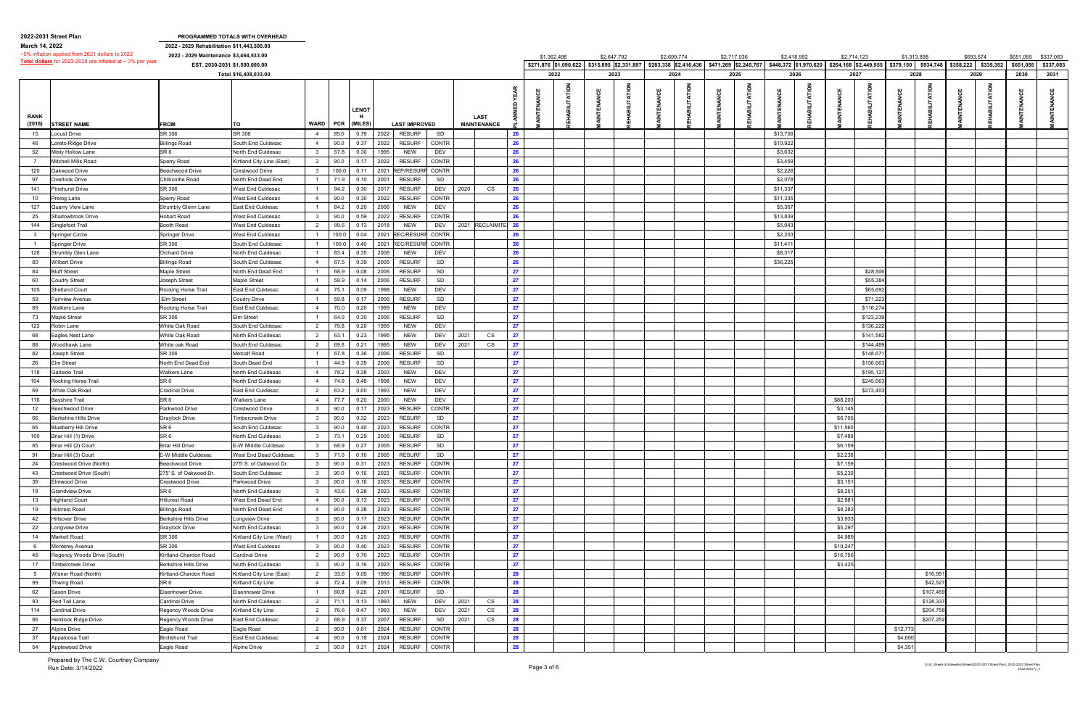|                | 2022-2031 Street Plan                                          |                                            | PROGRAMMED TOTALS WITH OVERHEAD      |                         |       |              |                                                 |                    |    |                                             |             |                                             |             |             |              |             |                                                       |             |           |           |                               |           |                     |
|----------------|----------------------------------------------------------------|--------------------------------------------|--------------------------------------|-------------------------|-------|--------------|-------------------------------------------------|--------------------|----|---------------------------------------------|-------------|---------------------------------------------|-------------|-------------|--------------|-------------|-------------------------------------------------------|-------------|-----------|-----------|-------------------------------|-----------|---------------------|
| March 14, 2022 |                                                                | 2022 - 2029 Rehabilitation \$11,443,500.00 |                                      |                         |       |              |                                                 |                    |    |                                             |             |                                             |             |             |              |             |                                                       |             |           |           |                               |           |                     |
|                | ~5% inflation applied from 2021 dollars to 2022                | 2022 - 2029 Maintenance \$3,464,533.00     |                                      |                         |       |              |                                                 |                    |    | \$1,362,498                                 | \$2,647,792 | \$2,699,774                                 | \$2,717,036 | \$2,418,992 |              | \$2,714,123 |                                                       | \$1,313,898 |           | \$693,574 |                               |           | \$651,055 \$337,083 |
|                | Total dollars for 2023-2028 are inflated at $\sim$ 3% per year |                                            | EST. 2030-2031 \$1,500,000.00        |                         |       |              |                                                 |                    |    | \$271,876 \$1,090,622 \$315,895 \$2,331,897 |             | \$283,338 \$2,416,436 \$471,269 \$2,245,767 |             |             |              |             | \$448,372 \$1,970,620 \$264,168 \$2,449,955 \$379,150 |             |           |           | \$934,748 \$358,222 \$335,352 | \$651,055 | \$337,083           |
|                |                                                                |                                            | Total \$16,408,033.00                |                         |       |              |                                                 |                    |    | 2022                                        | 2023        | 2024                                        | 2025        | 2026        |              | 2027        |                                                       | 2028        |           |           | 2029                          | 2030      | 2031                |
|                |                                                                |                                            |                                      |                         |       |              |                                                 |                    |    |                                             |             |                                             |             |             |              |             |                                                       |             |           |           |                               |           |                     |
| <b>RANK</b>    |                                                                |                                            |                                      |                         |       | <b>LENGT</b> |                                                 | <b>LAST</b>        |    |                                             |             |                                             |             | ෪           | <b>ATION</b> |             |                                                       |             |           |           |                               |           |                     |
| (2018)         | <b>STREET NAME</b>                                             | <b>FROM</b>                                | TO                                   | <b>WARD</b>             | PCR   | (MILES)      | <b>LAST IMPROVED</b>                            | <b>MAINTENANCE</b> |    |                                             |             |                                             |             |             |              |             |                                                       |             |           |           |                               |           |                     |
| 15             | ocust Drive                                                    | SR 306                                     | SR 306                               | $\overline{4}$          | 85.0  | 0.79         | <b>RESURF</b><br>2022<br>SD                     |                    | 26 |                                             |             |                                             |             | \$13,756    |              |             |                                                       |             |           |           |                               |           |                     |
| 46             | Loreto Ridge Drive                                             | <b>Billings Road</b>                       | South End Culdesac                   | $\overline{4}$          | 90.0  | 0.37         | 2022<br><b>RESURF</b><br><b>CONTR</b>           |                    | 26 |                                             |             |                                             |             | \$10,922    |              |             |                                                       |             |           |           |                               |           |                     |
| 52             | Misty Hollow Lane                                              | SR 6                                       | North End Culdesac                   | $\overline{\mathbf{3}}$ | 57.8  | 0.30         | 1995<br>NEW<br>DEV                              |                    | 26 |                                             |             |                                             |             | \$3,632     |              |             |                                                       |             |           |           |                               |           |                     |
|                | Mitchell Mills Road                                            | Sperry Road                                | Kirtland City Line (East)            | $\overline{2}$          | 90.0  | 0.17         | 2022<br><b>RESURF</b><br><b>CONTR</b>           |                    | 26 |                                             |             |                                             |             | \$3,459     |              |             |                                                       |             |           |           |                               |           |                     |
| 120            | )akwood Drive                                                  | Beechwood Drive                            | Crestwood Drive                      | $\overline{\mathbf{3}}$ | 100.0 | 0.11         | 2021<br><b>REP/RESURF</b><br><b>CONTR</b>       |                    | 26 |                                             |             |                                             |             | \$2,226     |              |             |                                                       |             |           |           |                               |           |                     |
| 97             | Overlook Drive                                                 | Chillicothe Road                           | North End Dead End                   |                         | 71.9  | 0.10         | 2001<br><b>RESURF</b><br>SD                     |                    | 26 |                                             |             |                                             |             | \$2,078     |              |             |                                                       |             |           |           |                               |           |                     |
| 141            | inehurst Drive <sup>,</sup>                                    | SR 306                                     | West End Culdesac                    |                         | 94.2  | 0.30         | 2017<br><b>RESURF</b><br>DEV                    | 2020<br>CS         | 26 |                                             |             |                                             |             | \$11,337    |              |             |                                                       |             |           |           |                               |           |                     |
| 10             | <sup>9</sup> relog Lane                                        | <b>Sperry Road</b>                         | West End Culdesac                    | $\overline{4}$          | 90.0  | 0.30         | 2022<br><b>RESURF</b><br><b>CONTR</b>           |                    | 26 |                                             |             |                                             |             | \$11,335    |              |             |                                                       |             |           |           |                               |           |                     |
| 127            | Quarry View Lane                                               | Strumbly Glenn Lane                        | East End Culdesac                    |                         | 84.2  | 0.20         | 2006<br><b>NEW</b><br>DEV                       |                    | 26 |                                             |             |                                             |             | \$5,367     |              |             |                                                       |             |           |           |                               |           |                     |
| 25             | Shadowbrook Drive                                              | <b>Hobart Road</b>                         | West End Culdesac                    | 3                       | 90.0  | 0.59         | <b>CONTR</b><br>2022<br><b>RESURF</b>           |                    | 26 |                                             |             |                                             |             | \$13,839    |              |             |                                                       |             |           |           |                               |           |                     |
| 144            | Singlefoot Trail                                               | Booth Road                                 | West End Culdesac                    | $\overline{2}$          | 99.6  | 0.13         | 2018<br><b>NEW</b><br>DEV                       | 2021 RECLAIMITE 26 |    |                                             |             |                                             |             | \$5,043     |              |             |                                                       |             |           |           |                               |           |                     |
| 3              | Springer Circle                                                | Springer Drive                             | West End Culdesac                    |                         | 100.0 | 0.04         | 2021<br><b>REC/RESURF</b><br><b>CONTR</b>       |                    | 26 |                                             |             |                                             |             | \$2,203     |              |             |                                                       |             |           |           |                               |           |                     |
| $\overline{1}$ | Springer Drive                                                 | SR 306                                     | South End Culdesac                   |                         | 100.0 | 0.40         | 2021<br><b>REC/RESURF</b><br><b>CONTR</b>       |                    | 26 |                                             |             |                                             |             | \$11,411    |              |             |                                                       |             |           |           |                               |           |                     |
| 126            | Strumbly Glen Lane                                             | <b>Orchard Drive</b>                       | North End Culdesac                   |                         | 83.4  | 0.35         | 2006<br><b>NEW</b><br>DEV                       |                    | 26 |                                             |             |                                             |             | \$8,317     |              |             |                                                       |             |           |           |                               |           |                     |
| 80             | Nilbert Drive                                                  | <b>Billings Road</b>                       | South End Culdesac                   | $\overline{4}$          | 67.5  | 0.39         | 2005<br><b>RESURF</b><br>SD                     |                    | 26 |                                             |             |                                             |             | \$36,225    |              |             |                                                       |             |           |           |                               |           |                     |
| 84             | <b>Bluff Street</b>                                            | Maple Street                               | North End Dead End                   |                         | 68.9  | 0.08         | <b>RESURF</b><br>2006<br>SD                     |                    | 27 |                                             |             |                                             |             |             |              |             | \$28,50                                               |             |           |           |                               |           |                     |
|                |                                                                |                                            |                                      |                         | 59.9  |              |                                                 |                    | 27 |                                             |             |                                             |             |             |              |             |                                                       |             |           |           |                               |           |                     |
| 60             | Coudry Street                                                  | <b>Joseph Street</b>                       | Maple Street                         |                         |       | 0.14         | 2006<br><b>RESURF</b><br>SD                     |                    |    |                                             |             |                                             |             |             |              |             | \$55,38                                               |             |           |           |                               |           |                     |
| 105            | hetland Court                                                  | Rocking Horse Trail                        | East End Culdesac                    | $\overline{4}$          | 75.1  | 0.09         | 1998<br><b>NEW</b><br>DEV                       |                    | 27 |                                             |             |                                             |             |             |              |             | \$65,69                                               |             |           |           |                               |           |                     |
| 59             | airview Avenue                                                 | Elm Street                                 | Coudry Drive                         |                         | 59.8  | 0.17         | 2006<br><b>RESURF</b><br>SD                     |                    | 27 |                                             |             |                                             |             |             |              |             | \$71,22                                               |             |           |           |                               |           |                     |
| 89             | <i>N</i> alkers Lane                                           | Rocking Horse Trail                        | East End Culdesac                    | $\overline{4}$          | 70.0  | 0.20         | 1999<br><b>NEW</b><br>DEV                       |                    | 27 |                                             |             |                                             |             |             |              |             | \$116,27                                              |             |           |           |                               |           |                     |
| 73             | Aaple Street                                                   | SR 306                                     | Elm Street                           |                         | 64.0  | 0.30         | 2006<br><b>RESURF</b><br>SD                     |                    | 27 |                                             |             |                                             |             |             |              |             | \$123,23                                              |             |           |           |                               |           |                     |
| 123            | ≀obin Lane                                                     | White Oak Road                             | South End Culdesac                   | 2                       | 79.8  | 0.20         | DEV<br>1995<br><b>NEW</b>                       |                    | 27 |                                             |             |                                             |             |             |              |             | \$136,22                                              |             |           |           |                               |           |                     |
| 68             | agles Nest Lane                                                | White Oak Road                             | North End Culdesac                   | $\overline{2}$          | 63.1  | 0.23         | 1995<br><b>NEW</b><br>DEV                       | 2021<br>CS         | 27 |                                             |             |                                             |             |             |              |             | \$141,58                                              |             |           |           |                               |           |                     |
| 88             | Noodhawk Lane                                                  | White oak Road                             | South End Culdesac                   | $\overline{2}$          | 69.8  | 0.21         | 1995<br><b>NEW</b><br>DEV                       | 2021<br><b>CS</b>  | 27 |                                             |             |                                             |             |             |              |             | \$144,48                                              |             |           |           |                               |           |                     |
| 82             | oseph Street                                                   | SR 306                                     | Metcalf Road                         |                         | 67.8  | 0.36         | 2006<br><b>RESURF</b><br>SD                     |                    | 27 |                                             |             |                                             |             |             |              |             | \$148,67                                              |             |           |           |                               |           |                     |
| 26             | Im Street                                                      | North End Dead End                         | South Dead End                       |                         | 44.9  | 0.39         | <b>RESURF</b><br>2006<br>SD                     |                    | 27 |                                             |             |                                             |             |             |              |             | \$156,66                                              |             |           |           |                               |           |                     |
| 118            | Gaitside Trail                                                 | Walkers Lane                               | North End Culdesac                   | $\overline{4}$          | 78.2  | 0.38         | 2003<br><b>NEW</b><br>DEV                       |                    | 27 |                                             |             |                                             |             |             |              |             | \$195,12                                              |             |           |           |                               |           |                     |
| 104            | Rocking Horse Trail                                            | SR 6                                       | North End Culdesac                   | $\overline{4}$          | 74.9  | 0.48         | 1998<br><b>NEW</b><br>DEV                       |                    | 27 |                                             |             |                                             |             |             |              |             | \$245,66                                              |             |           |           |                               |           |                     |
| 69             | White Oak Road                                                 | <b>Cradinal Drive</b>                      | East End Culdesac                    | $\overline{2}$          | 63.2  | 0.60         | 1993<br><b>NEW</b><br>DEV                       |                    | 27 |                                             |             |                                             |             |             |              |             | \$273,403                                             |             |           |           |                               |           |                     |
| 116            | Bayshire Trail                                                 | SR <sub>6</sub>                            | Walkers Lane                         | $\overline{4}$          | 77.7  | 0.20         | 2000<br><b>NEW</b><br>DEV                       |                    | 27 |                                             |             |                                             |             |             |              | \$88,203    |                                                       |             |           |           |                               |           |                     |
| 12             | Beechwood Drive                                                | Parkwood Drive                             | Crestwood Drive                      | $\overline{\mathbf{3}}$ | 90.0  | 0.17         | 2023<br><b>RESURF</b><br><b>CONTR</b>           |                    | 27 |                                             |             |                                             |             |             |              | \$3,145     |                                                       |             |           |           |                               |           |                     |
| 66             | Berkshire Hills Drive                                          | <b>Graylock Drive</b>                      | Fimbercreek Drive                    | $\overline{\mathbf{3}}$ | 90.0  | 0.32         | 2023<br><b>RESURF</b><br>SD                     |                    | 27 |                                             |             |                                             |             |             |              | \$6,70      |                                                       |             |           |           |                               |           |                     |
| 65             | <b>Blueberry Hill Drive</b>                                    | SR 6                                       | South End Culdesac                   | $\overline{\mathbf{3}}$ | 90.0  | 0.40         | 2023<br><b>RESURF</b><br><b>CONTR</b>           |                    | 27 |                                             |             |                                             |             |             |              | \$11,560    |                                                       |             |           |           |                               |           |                     |
| 100            | Briar Hill (1) Drive                                           | SR <sub>6</sub>                            | North End Culdesac                   | $\mathbf{3}$            |       |              | 73.1 0.29 2005 RESURF<br>SD                     |                    | 27 |                                             |             |                                             |             |             |              | \$7,489     |                                                       |             |           |           |                               |           |                     |
| 85             | Briar Hill (2) Court                                           | Briar Hill Drive                           | E-W Middle Culdesac                  | $\overline{\mathbf{3}}$ | 68.9  | 0.27         | 2005<br>SD<br><b>RESURF</b>                     |                    | 27 |                                             |             |                                             |             |             |              | \$6,159     |                                                       |             |           |           |                               |           |                     |
| 91             | Briar Hill (3) Court                                           | E-W Middle Culdesac                        | West End Dead Culdesac               | $\overline{\mathbf{3}}$ | 71.0  | 0.10 2005    | <b>RESURF</b><br>SD                             |                    | 27 |                                             |             |                                             |             |             |              | \$2,238     |                                                       |             |           |           |                               |           |                     |
| 24             | Crestwood Drive (North)                                        | Beechwood Drive                            | 275' S. of Oakwood Dr.               | $\overline{3}$          | 90.0  | 0.31         | CONTR<br>2023<br><b>RESURF</b>                  |                    | 27 |                                             |             |                                             |             |             |              | \$7,159     |                                                       |             |           |           |                               |           |                     |
|                |                                                                |                                            |                                      | $\overline{3}$          | 90.0  |              | 2023<br>CONTR                                   |                    | 27 |                                             |             |                                             |             |             |              | \$5,230     |                                                       |             |           |           |                               |           |                     |
| 43             | Crestwood Drive (South)<br>Elmwood Drive                       | 275' S. of Oakwood Dr.<br>Crestwood Drive  | South End Culdesac<br>Parkwood Drive | $\overline{\mathbf{3}}$ | 90.0  | 0.16<br>0.16 | <b>RESURF</b><br>CONTR<br>2023<br><b>RESURF</b> |                    | 27 |                                             |             |                                             |             |             |              | \$3,151     |                                                       |             |           |           |                               |           |                     |
| 39             |                                                                |                                            |                                      |                         |       |              |                                                 |                    |    |                                             |             |                                             |             |             |              |             |                                                       |             |           |           |                               |           |                     |
| 18             | <b>Grandview Drive</b>                                         | SR <sub>6</sub>                            | North End Culdesac                   | $\overline{\mathbf{3}}$ | 43.6  | 0.28         | 2023<br><b>RESURF</b><br>CONTR                  |                    | 27 |                                             |             |                                             |             |             |              | \$8,251     |                                                       |             |           |           |                               |           |                     |
| 13             | <b>Highland Court</b>                                          | Hillcrest Road                             | West End Dead End                    | $\overline{4}$          | 90.0  | 0.13         | 2023<br><b>RESURF</b><br>CONTR                  |                    | 27 |                                             |             |                                             |             |             |              | \$2,881     |                                                       |             |           |           |                               |           |                     |
| 19             | <b>Hillcrest Road</b>                                          | <b>Billings Road</b>                       | North End Dead End                   | $\overline{4}$          | 90.0  | 0.38         | 2023<br><b>RESURF</b><br>CONTR                  |                    | 27 |                                             |             |                                             |             |             |              | \$8,282     |                                                       |             |           |           |                               |           |                     |
| 42             | Hillsover Drive                                                | <b>Berkshire Hills Drive</b>               | Longview Drive                       | - 3                     | 90.0  | 0.17         | CONTR<br>2023<br><b>RESURF</b>                  |                    | 27 |                                             |             |                                             |             |             |              | \$3,933     |                                                       |             |           |           |                               |           |                     |
| 22             | ongview Drive                                                  | Graylock Drive                             | North End Culdesac                   | -3                      | 90.0  | 0.26         | CONTR<br>2023<br><b>RESURF</b>                  |                    | 27 |                                             |             |                                             |             |             |              | \$5,297     |                                                       |             |           |           |                               |           |                     |
| 14             | Markell Road                                                   | SR 306                                     | Kirtland City Line (West)            |                         | 90.0  | 0.25         | 2023<br><b>RESURF</b><br>CONTR                  |                    | 27 |                                             |             |                                             |             |             |              | \$4,989     |                                                       |             |           |           |                               |           |                     |
| 6              | Monterey Avenue                                                | SR 306                                     | West End Culdesac                    | $\overline{\mathbf{3}}$ | 90.0  | 0.40         | CONTR<br>2023<br><b>RESURF</b>                  |                    | 27 |                                             |             |                                             |             |             |              | \$10,247    |                                                       |             |           |           |                               |           |                     |
| 45             | Regency Woods Drive (South)                                    | Kirtland-Chardon Road                      | Cardinal Drive                       | 2                       | 90.0  | 0.70         | 2023<br><b>RESURF</b><br>CONTR                  |                    | 27 |                                             |             |                                             |             |             |              | \$16,756    |                                                       |             |           |           |                               |           |                     |
| 17             | <b>Timbercreek Drive</b>                                       | Berkshire Hills Drive                      | North End Culdesac                   | $\overline{\mathbf{3}}$ | 90.0  | 0.16         | <b>RESURF</b><br>CONTR<br>2023                  |                    | 27 |                                             |             |                                             |             |             |              | \$3,425     |                                                       |             |           |           |                               |           |                     |
| 5              | Wisner Road (North)                                            | Kirtland-Chardon Road                      | Kirtland City Line (East)            | $\overline{2}$          | 33.6  | 0.05         | 1996<br><b>RESURF</b><br>CONTR                  |                    | 28 |                                             |             |                                             |             |             |              |             |                                                       |             | \$16,951  |           |                               |           |                     |
| 99             | Thwing Road                                                    | SR 6                                       | Kirtland City Line                   | $\overline{4}$          | 72.4  | 0.09         | CONTR<br>2013<br><b>RESURF</b>                  |                    | 28 |                                             |             |                                             |             |             |              |             |                                                       |             | \$42,527  |           |                               |           |                     |
| 62             | Saxon Drive                                                    | Eisenhower Drive                           | Eisenhower Drive                     |                         | 60.8  | 0.25         | <b>RESURF</b><br>SD<br>2001                     |                    | 28 |                                             |             |                                             |             |             |              |             |                                                       |             | \$107,459 |           |                               |           |                     |
| 93             | Red Tail Lane                                                  | Cardinal Drive                             | North End Culdesac                   | 2                       | 71.1  | 0.13         | 1993<br><b>NEW</b>                              | DEV 2021<br>CS     | 28 |                                             |             |                                             |             |             |              |             |                                                       |             | \$128,337 |           |                               |           |                     |
| 114            | Cardinal Drive                                                 | Regency Woods Drive                        | Kirtland City Line                   | $\overline{2}$          | 76.6  | 0.47         | 1993<br><b>NEW</b>                              | DEV 2021<br>CS     | 28 |                                             |             |                                             |             |             |              |             |                                                       |             | \$204,758 |           |                               |           |                     |
| 86             | Hemlock Ridge Drive                                            | Regency Woods Drive                        | East End Culdesac                    | 2                       | 68.9  | 0.37         | 2007<br><b>RESURF</b><br><b>SD</b>              | 2021<br>CS         | 28 |                                             |             |                                             |             |             |              |             |                                                       |             | \$207,252 |           |                               |           |                     |
| 27             | <b>Alpine Drive</b>                                            | Eagle Road                                 | Eagle Road                           | 2                       | 90.0  | 0.61         | 2024<br><b>RESURF</b><br>CONTR                  |                    | 28 |                                             |             |                                             |             |             |              |             |                                                       | \$12,773    |           |           |                               |           |                     |
| 37             | Appaloosa Trail                                                | Birdlehurst Trail                          | East End Culdesac                    | $\overline{4}$          | 90.0  | 0.18         | 2024<br><b>RESURF</b><br>CONTR                  |                    | 28 |                                             |             |                                             |             |             |              |             |                                                       | \$4,600     |           |           |                               |           |                     |
| 54             | Applewood Drive                                                | Eagle Road                                 | Alpine Drive                         | $\overline{2}$          |       | 90.0 0.21    | 2024<br>CONTR<br><b>RESURF</b>                  |                    | 28 |                                             |             |                                             |             |             |              |             |                                                       | \$4,351     |           |           |                               |           |                     |
|                |                                                                |                                            |                                      |                         |       |              |                                                 |                    |    |                                             |             |                                             |             |             |              |             |                                                       |             |           |           |                               |           |                     |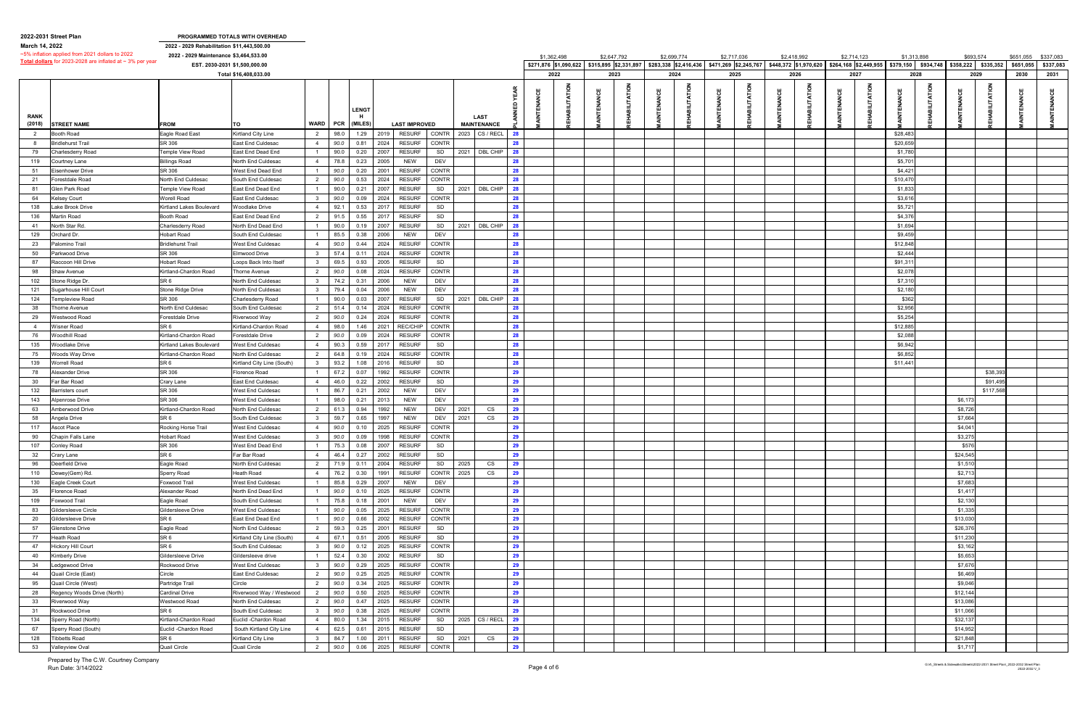|                       | 2022-2031 Street Plan                                          |                                            | PROGRAMMED TOTALS WITH OVERHEAD |                         |      |                  |           |                               |         |                                   |    |                                             |             |                                             |             |             |                |             |                                                       |             |                               |          |           |           |
|-----------------------|----------------------------------------------------------------|--------------------------------------------|---------------------------------|-------------------------|------|------------------|-----------|-------------------------------|---------|-----------------------------------|----|---------------------------------------------|-------------|---------------------------------------------|-------------|-------------|----------------|-------------|-------------------------------------------------------|-------------|-------------------------------|----------|-----------|-----------|
| March 14, 2022        |                                                                | 2022 - 2029 Rehabilitation \$11,443,500.00 |                                 |                         |      |                  |           |                               |         |                                   |    |                                             |             |                                             |             |             |                |             |                                                       |             |                               |          |           |           |
|                       | ~5% inflation applied from 2021 dollars to 2022                | 2022 - 2029 Maintenance \$3,464,533.00     |                                 |                         |      |                  |           |                               |         |                                   |    | \$1,362,498                                 | \$2,647,792 | \$2,699,774                                 | \$2,717,036 | \$2,418,992 |                | \$2,714,123 |                                                       | \$1,313,898 | \$693,574                     |          | \$651,055 | \$337,083 |
|                       | Total dollars for 2023-2028 are inflated at $\sim$ 3% per year | EST. 2030-2031 \$1,500,000.00              |                                 |                         |      |                  |           |                               |         |                                   |    | \$271,876 \$1,090,622 \$315,895 \$2,331.897 |             | \$283,338 \$2,416,436 \$471,269 \$2,245,767 |             |             |                |             | \$448,372 \$1,970,620 \$264,168 \$2,449,955 \$379,150 |             | \$934,748 \$358,222 \$335,352 |          | \$651,055 | \$337,083 |
|                       |                                                                |                                            | Total \$16,408,033.00           |                         |      |                  |           |                               |         |                                   |    | 2022                                        | 2023        | 2024                                        | 2025        |             | 2026           | 2027        |                                                       | 2028        | 2029                          |          | 2030      | 2031      |
|                       |                                                                |                                            |                                 |                         |      |                  |           |                               |         |                                   |    |                                             |             |                                             |             |             |                |             |                                                       |             |                               |          |           |           |
| <b>RANK</b><br>(2018) | <b>STREET NAME</b>                                             | <b>FROM</b>                                | TO                              | WARD                    | PCR  | LENGT<br>(MILES) |           | <b>LAST IMPROVED</b>          |         | <b>LAST</b><br><b>MAINTENANCE</b> |    |                                             |             |                                             |             |             | <b>ITATION</b> |             |                                                       |             |                               |          |           |           |
| 2                     | ooth Road                                                      | Eagle Road East                            | Kirtland City Line              | $\overline{2}$          | 98.0 | 1.29             | 2019      | <b>RESURF</b><br>CONTR        |         | 2023 CS / RECL                    | 28 |                                             |             |                                             |             |             |                |             |                                                       | \$28,483    |                               |          |           |           |
| - 8                   | <b>Bridlehurst Trail</b>                                       | SR 306                                     | <b>East End Culdesac</b>        | $\overline{4}$          | 90.0 | 0.81             | 2024      | <b>RESURF</b><br><b>CONTR</b> |         |                                   | 28 |                                             |             |                                             |             |             |                |             |                                                       | \$20,659    |                               |          |           |           |
|                       |                                                                |                                            |                                 |                         |      |                  |           |                               |         |                                   |    |                                             |             |                                             |             |             |                |             |                                                       |             |                               |          |           |           |
| 79                    | harlesderry Road                                               | <b>Femple View Road</b>                    | East End Dead End               |                         | 90.0 | 0.20             | 2007      | <b>RESURF</b><br>SD           | 2021    | DBL CHIP                          | 28 |                                             |             |                                             |             |             |                |             |                                                       | \$1,780     |                               |          |           |           |
| 119                   | Courtney Lane                                                  | <b>Billings Road</b>                       | North End Culdesac              | $\overline{4}$          | 78.8 | 0.23             | 2005      | DEV<br><b>NEW</b>             |         |                                   | 28 |                                             |             |                                             |             |             |                |             |                                                       | \$5,701     |                               |          |           |           |
| 51                    | isenhower Drive                                                | SR 306                                     | West End Dead End               |                         | 90.0 | 0.20             | 2001      | CONTR<br><b>RESURF</b>        |         |                                   | 28 |                                             |             |                                             |             |             |                |             |                                                       | \$4,421     |                               |          |           |           |
| 21                    | orestdale Road                                                 | North End Culdesac                         | South End Culdesac              | 2                       | 90.0 | 0.53             | 2024      | CONTR<br><b>RESURF</b>        |         |                                   | 28 |                                             |             |                                             |             |             |                |             |                                                       | \$10,470    |                               |          |           |           |
| 81                    | ilen Park Road                                                 | Femple View Road                           | East End Dead End               | $\overline{1}$          | 90.0 | 0.21             | 2007      | <b>RESURF</b><br>SD           |         | 2021 DBL CHIP                     | 28 |                                             |             |                                             |             |             |                |             |                                                       | \$1,833     |                               |          |           |           |
| 64                    | elsey Court                                                    | Worell Road                                | East End Culdesac               | $\overline{\mathbf{3}}$ | 90.0 | 0.09             | 2024      | <b>RESURF</b><br><b>CONTR</b> |         |                                   | 28 |                                             |             |                                             |             |             |                |             |                                                       | \$3,616     |                               |          |           |           |
| 138                   | ake Brook Drive                                                | Kirtland Lakes Boulevard                   | <b>Woodlake Drive</b>           | $\overline{4}$          | 92.1 | 0.53             | 2017      | <b>RESURF</b><br>SD           |         |                                   | 28 |                                             |             |                                             |             |             |                |             |                                                       | \$5,721     |                               |          |           |           |
| 136                   | lartin Road                                                    | Booth Road                                 | East End Dead End               | $\overline{2}$          | 91.5 | 0.55             | 2017      | <b>RESURF</b><br>SD           |         |                                   | 28 |                                             |             |                                             |             |             |                |             |                                                       | \$4,376     |                               |          |           |           |
| 41                    | <b>North Star Rd.</b>                                          | Charlesderry Road                          | North End Dead End              | $\overline{1}$          | 90.0 | 0.19             | 2007      | <b>RESURF</b><br>SD           | 2021    | DBL CHIP                          | 28 |                                             |             |                                             |             |             |                |             |                                                       | \$1,694     |                               |          |           |           |
|                       |                                                                |                                            |                                 |                         | 85.5 |                  |           |                               |         |                                   |    |                                             |             |                                             |             |             |                |             |                                                       | \$9,459     |                               |          |           |           |
| 129                   | )rchard Dr.                                                    | Hobart Road                                | South End Culdesac              |                         |      | 0.38             | 2006      | <b>NEW</b><br>DEV             |         |                                   | 28 |                                             |             |                                             |             |             |                |             |                                                       |             |                               |          |           |           |
| 23                    | 'alomino Trail                                                 | Bridlehurst Trail                          | West End Culdesac               | $\overline{4}$          | 90.0 | 0.44             | 2024      | CONTR<br><b>RESURF</b>        |         |                                   | 28 |                                             |             |                                             |             |             |                |             |                                                       | \$12,848    |                               |          |           |           |
| 50                    | arkwood Drive'                                                 | SR 306                                     | Elmwood Drive                   | $\overline{\mathbf{3}}$ | 57.4 | 0.11             | 2024      | <b>RESURF</b><br><b>CONTR</b> |         |                                   | 28 |                                             |             |                                             |             |             |                |             |                                                       | \$2,444     |                               |          |           |           |
| 87                    | ≀accoon Hill Drive                                             | <b>Hobart Road</b>                         | Loops Back Into Itself          | $\mathbf{3}$            | 69.5 | 0.93             | 2005      | SD<br><b>RESURF</b>           |         |                                   | 28 |                                             |             |                                             |             |             |                |             |                                                       | \$91,311    |                               |          |           |           |
| 98                    | Shaw Avenue                                                    | Kirtland-Chardon Road                      | Thorne Avenue                   | $\overline{2}$          | 90.0 | 0.08             | 2024      | <b>RESURF</b><br><b>CONTR</b> |         |                                   | 28 |                                             |             |                                             |             |             |                |             |                                                       | \$2,078     |                               |          |           |           |
| 102                   | Stone Ridge Dr.                                                | SR <sub>6</sub>                            | North End Culdesac              | $\overline{\mathbf{3}}$ | 74.2 | 0.31             | 2006      | DEV<br><b>NEW</b>             |         |                                   | 28 |                                             |             |                                             |             |             |                |             |                                                       | \$7,310     |                               |          |           |           |
| 121                   | ugarhouse Hill Court                                           | Stone Ridge Drive                          | North End Culdesac              | $\overline{\mathbf{3}}$ | 79.4 | 0.04             | 2006      | <b>NEW</b><br>DEV             |         |                                   | 28 |                                             |             |                                             |             |             |                |             |                                                       | \$2,180     |                               |          |           |           |
| 124                   | empleview Road                                                 | SR 306                                     | Charlesderry Road               |                         | 90.0 | 0.03             | 2007      | <b>RESURF</b><br>SD           |         | 2021 DBL CHIP                     | 28 |                                             |             |                                             |             |             |                |             |                                                       | \$362       |                               |          |           |           |
| 38                    | horne Avenue                                                   | North End Culdesac                         | South End Culdesac              | $\overline{2}$          | 51.4 | 0.14             | 2024      | CONTR<br><b>RESURF</b>        |         |                                   | 28 |                                             |             |                                             |             |             |                |             |                                                       | \$2,956     |                               |          |           |           |
| 29                    | Vestwood Road                                                  | orestdale Drive                            | Riverwood Way                   | $\overline{2}$          | 90.0 | 0.24             | 2024      | <b>CONTR</b><br><b>RESURF</b> |         |                                   | 28 |                                             |             |                                             |             |             |                |             |                                                       | \$5,254     |                               |          |           |           |
| 4                     | Visner Road                                                    | SR 6                                       | Kirtland-Chardon Road           | $\overline{4}$          | 98.0 | 1.46             | 2021      | REC/CHIP<br>CONTR             |         |                                   | 28 |                                             |             |                                             |             |             |                |             |                                                       | \$12,885    |                               |          |           |           |
|                       |                                                                |                                            |                                 |                         |      |                  |           |                               |         |                                   |    |                                             |             |                                             |             |             |                |             |                                                       |             |                               |          |           |           |
| 76                    | Voodhill Road                                                  | <b>Kirtland-Chardon Road</b>               | Forestdale Drive                | 2                       | 90.0 | 0.09             | 2024      | <b>RESURF</b><br><b>CONTR</b> |         |                                   | 28 |                                             |             |                                             |             |             |                |             |                                                       | \$2,088     |                               |          |           |           |
| 135                   | Voodlake Drive                                                 | Kirtland Lakes Boulevard                   | West End Culdesac               | $\overline{4}$          | 90.3 | 0.59             | 2017      | <b>RESURF</b><br>SD           |         |                                   | 28 |                                             |             |                                             |             |             |                |             |                                                       | \$6,942     |                               |          |           |           |
| 75                    | Voods Way Drive                                                | Kirtland-Chardon Road                      | North End Culdesac              | $\overline{2}$          | 64.8 | 0.19             | 2024      | <b>RESURF</b><br><b>CONTR</b> |         |                                   | 28 |                                             |             |                                             |             |             |                |             |                                                       | \$6,852     |                               |          |           |           |
| 139                   | Vorrell Road                                                   | SR <sub>6</sub>                            | Kirtland City Line (South)      | $\overline{\mathbf{3}}$ | 93.2 | 1.08             | 2016      | <b>RESURF</b><br>SD           |         |                                   | 28 |                                             |             |                                             |             |             |                |             |                                                       | \$11,441    |                               |          |           |           |
| 78                    | lexander Drive                                                 | SR 306                                     | Florence Road                   |                         | 67.2 | 0.07             | 1992      | <b>RESURF</b><br><b>CONTR</b> |         |                                   | 29 |                                             |             |                                             |             |             |                |             |                                                       |             |                               | \$38,39  |           |           |
| 30                    | ar Bar Road                                                    | Crary Lane                                 | East End Culdesac               | $\overline{4}$          | 46.0 | 0.22             | 2002      | <b>RESURF</b><br>SD           |         |                                   | 29 |                                             |             |                                             |             |             |                |             |                                                       |             |                               | \$91,49  |           |           |
| 132                   | arristers court                                                | SR 306                                     | West End Culdesac               |                         | 86.7 | 0.21             | 2002      | <b>NEW</b><br>DEV             |         |                                   | 29 |                                             |             |                                             |             |             |                |             |                                                       |             |                               | \$117,56 |           |           |
| 143                   | Jpenrose Drive                                                 | SR 306                                     | West End Culdesac               |                         | 98.0 | 0.21             | 2013      | DEV<br><b>NEW</b>             |         |                                   | 29 |                                             |             |                                             |             |             |                |             |                                                       |             | \$6,173                       |          |           |           |
| 63                    | Amberwood Drive                                                | Kirtland-Chardon Road                      | North End Culdesac              | 2                       | 61.3 | 0.94             | 1992      | <b>NEW</b><br>DEV             | 2021    | CS                                | 29 |                                             |             |                                             |             |             |                |             |                                                       |             | \$8,726                       |          |           |           |
| 58                    | ∖ngela Drive                                                   | SR 6                                       | South End Culdesac              | $\overline{\mathbf{3}}$ | 59.7 | 0.65             | 1997      | <b>NEW</b><br>DEV             | 2021    | CS                                | 29 |                                             |             |                                             |             |             |                |             |                                                       |             | \$7,664                       |          |           |           |
| 117                   | Ascot Place                                                    | Rocking Horse Trail                        | West End Culdesac               | $\overline{4}$          | 90.0 | 0.10             | 2025      | <b>RESURF</b><br>CONTR        |         |                                   | 29 |                                             |             |                                             |             |             |                |             |                                                       |             | \$4,04                        |          |           |           |
|                       |                                                                |                                            |                                 | $\mathbf{3}$            |      |                  |           |                               |         |                                   |    |                                             |             |                                             |             |             |                |             |                                                       |             |                               |          |           |           |
| 90                    | Chapin Falls Lane                                              | <b>Hobart Road</b>                         | West End Culdesac               |                         |      |                  |           | 90.0 0.09 1998 RESURF CONTR   |         |                                   | 29 |                                             |             |                                             |             |             |                |             |                                                       |             | \$3,275                       |          |           |           |
| 107                   | Conley Road                                                    | SR 306                                     | West End Dead End               | $\overline{1}$          | 75.3 | 0.08             | 2007      | <b>RESURF</b><br>SD           |         |                                   | 29 |                                             |             |                                             |             |             |                |             |                                                       |             | \$576                         |          |           |           |
| 32                    | Crary Lane                                                     | SR <sub>6</sub>                            | Far Bar Road                    | $\overline{4}$          | 46.4 | 0.27             | 2002      | <b>RESURF</b><br>SD           |         |                                   | 29 |                                             |             |                                             |             |             |                |             |                                                       |             | \$24,545                      |          |           |           |
| 96                    | Deerfield Drive                                                | Eagle Road                                 | North End Culdesac              | $\overline{2}$          | 71.9 | 0.11             | 2004      | SD  <br><b>RESURF</b>         | 2025    | CS                                | 29 |                                             |             |                                             |             |             |                |             |                                                       |             | \$1,510                       |          |           |           |
| 110                   | Jewey(Gem) Rd.                                                 | Sperry Road                                | Heath Road                      | $\overline{4}$          | 76.2 | 0.30             | 1991      | CONTR 2025<br><b>RESURF</b>   |         | CS                                | 29 |                                             |             |                                             |             |             |                |             |                                                       |             | \$2,713                       |          |           |           |
| 130                   | agle Creek Court                                               | Toxwood Trail                              | West End Culdesac               |                         | 85.8 | 0.29             | 2007      | <b>NEW</b><br><b>DEV</b>      |         |                                   | 29 |                                             |             |                                             |             |             |                |             |                                                       |             | \$7,683                       |          |           |           |
| 35                    | Iorence Road                                                   | Alexander Road                             | North End Dead End              |                         | 90.0 |                  | 0.10 2025 | CONTR<br><b>RESURF</b>        |         |                                   | 29 |                                             |             |                                             |             |             |                |             |                                                       |             | \$1,417                       |          |           |           |
| 109                   | oxwood Trail                                                   | Eagle Road                                 | South End Culdesac              |                         | 75.8 | 0.18             | 2001      | <b>DEV</b><br><b>NEW</b>      |         |                                   | 29 |                                             |             |                                             |             |             |                |             |                                                       |             | \$2,130                       |          |           |           |
| 83                    | Gildersleeve Circle                                            | Gildersleeve Drive                         | West End Culdesac               |                         | 90.0 | 0.05             | 2025      | <b>CONTR</b><br><b>RESURF</b> |         |                                   | 29 |                                             |             |                                             |             |             |                |             |                                                       |             | \$1,335                       |          |           |           |
| 20                    | <b>Gildersleeve Drive</b>                                      | SR <sub>6</sub>                            | East End Dead End               |                         | 90.0 | 0.66             | 2002      | CONTR<br><b>RESURF</b>        |         |                                   | 29 |                                             |             |                                             |             |             |                |             |                                                       |             | \$13,030                      |          |           |           |
| 57                    | Glenstone Drive                                                | Eagle Road                                 | North End Culdesac              | 2                       | 59.3 | 0.25             | 2001      | <b>RESURF</b><br>SD           |         |                                   | 29 |                                             |             |                                             |             |             |                |             |                                                       |             | \$26,376                      |          |           |           |
| 77                    | Heath Road                                                     | SR <sub>6</sub>                            | Kirtland City Line (South)      | $\overline{4}$          | 67.1 | 0.51             | 2005      | SD<br><b>RESURF</b>           |         |                                   | 29 |                                             |             |                                             |             |             |                |             |                                                       |             | \$11,230                      |          |           |           |
|                       |                                                                | SR 6                                       |                                 | $\overline{\mathbf{3}}$ |      |                  |           | CONTR<br><b>RESURF</b>        |         |                                   | 29 |                                             |             |                                             |             |             |                |             |                                                       |             |                               |          |           |           |
| 47                    | Hickory Hill Court                                             |                                            | South End Culdesac              |                         | 90.0 | 0.12             | 2025      |                               |         |                                   |    |                                             |             |                                             |             |             |                |             |                                                       |             | \$3,162                       |          |           |           |
| 40                    | Kimberly Drive                                                 | Gildersleeve Drive                         | Gildersleeve drive              |                         | 52.4 | 0.30             | 2002      | <b>RESURF</b><br>SD           |         |                                   | 29 |                                             |             |                                             |             |             |                |             |                                                       |             | \$5,653                       |          |           |           |
| 34                    | edgewood Drive                                                 | Rockwood Drive                             | West End Culdesac               | $\overline{\mathbf{3}}$ | 90.0 | 0.29             | 2025      | CONTR<br><b>RESURF</b>        |         |                                   | 29 |                                             |             |                                             |             |             |                |             |                                                       |             | \$7,676                       |          |           |           |
| 44                    | Quail Circle (East)                                            | Circle                                     | East End Culdesac               | 2                       | 90.0 | 0.25             | 2025      | CONTR<br><b>RESURF</b>        |         |                                   | 29 |                                             |             |                                             |             |             |                |             |                                                       |             | \$6,469                       |          |           |           |
| 95                    | Quail Circle (West)                                            | Partridge Trail                            | Circle                          | $\overline{2}$          | 90.0 | 0.34             | 2025      | <b>RESURF</b><br>CONTR        |         |                                   | 29 |                                             |             |                                             |             |             |                |             |                                                       |             | \$9,046                       |          |           |           |
| 28                    | Regency Woods Drive (North)                                    | <b>Cardinal Drive</b>                      | Riverwood Way / Westwood        | $\overline{2}$          | 90.0 | 0.50             | 2025      | <b>RESURF</b><br>CONTR        |         |                                   | 29 |                                             |             |                                             |             |             |                |             |                                                       |             | \$12,144                      |          |           |           |
| 33                    | Riverwood Way                                                  | Westwood Road                              | North End Culdesac              | 2                       | 90.0 | 0.47             | 2025      | CONTR<br><b>RESURF</b>        |         |                                   | 29 |                                             |             |                                             |             |             |                |             |                                                       |             | \$13,086                      |          |           |           |
| 31                    | Rockwood Drive                                                 | SR 6                                       | South End Culdesac              | $\overline{\mathbf{3}}$ | 90.0 | 0.38             | 2025      | CONTR<br><b>RESURF</b>        |         |                                   | 29 |                                             |             |                                             |             |             |                |             |                                                       |             | \$11,066                      |          |           |           |
| 134                   | Sperry Road (North)                                            | Kirtland-Chardon Road                      | Euclid - Chardon Road           | $\overline{4}$          | 80.0 | 1.34             | 2015      | <b>RESURF</b>                 |         | SD 2025 CS / RECL                 | 29 |                                             |             |                                             |             |             |                |             |                                                       |             | \$32,137                      |          |           |           |
| 67                    | Sperry Road (South)                                            | Euclid - Chardon Road                      | South Kirtland City Line        | $\overline{4}$          | 62.5 | 0.61             | 2015      | SD<br><b>RESURF</b>           |         |                                   | 29 |                                             |             |                                             |             |             |                |             |                                                       |             | \$14,952                      |          |           |           |
| 128                   | Tibbetts Road                                                  | SR <sub>6</sub>                            | Kirtland City Line              | $\overline{\mathbf{3}}$ | 84.7 | 1.00             | 2011      | <b>RESURF</b>                 | SD 2021 | CS                                | 29 |                                             |             |                                             |             |             |                |             |                                                       |             | \$21,848                      |          |           |           |
|                       | Valleyview Oval                                                | Quail Circle                               | Quail Circle                    |                         |      |                  | 2025      | CONTR<br><b>RESURF</b>        |         |                                   | 29 |                                             |             |                                             |             |             |                |             |                                                       |             | \$1,717                       |          |           |           |
| 53                    |                                                                |                                            |                                 | $\overline{2}$          | 90.0 | 0.06             |           |                               |         |                                   |    |                                             |             |                                             |             |             |                |             |                                                       |             |                               |          |           |           |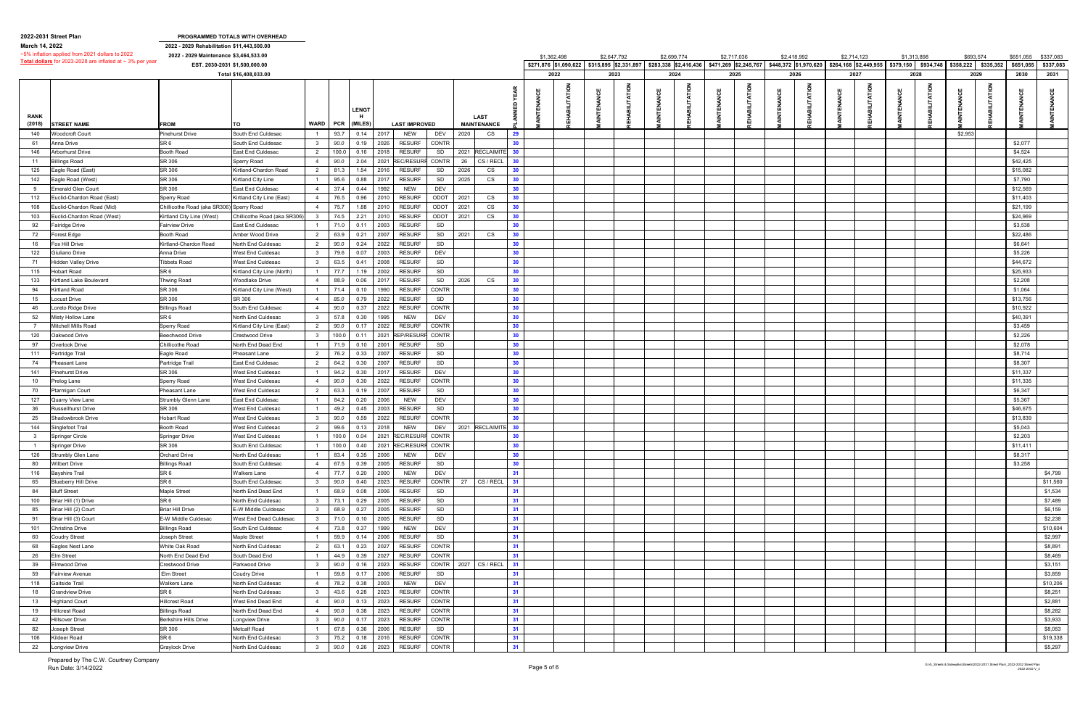|                | 2022-2031 Street Plan                                          |                                            | PROGRAMMED TOTALS WITH OVERHEAD |                         |                 |              |                                             |      |                      |                 |                                             |             |             |                                             |             |               |             |             |                                                                                      |           |      |           |                     |
|----------------|----------------------------------------------------------------|--------------------------------------------|---------------------------------|-------------------------|-----------------|--------------|---------------------------------------------|------|----------------------|-----------------|---------------------------------------------|-------------|-------------|---------------------------------------------|-------------|---------------|-------------|-------------|--------------------------------------------------------------------------------------|-----------|------|-----------|---------------------|
| March 14, 2022 |                                                                | 2022 - 2029 Rehabilitation \$11,443,500.00 |                                 |                         |                 |              |                                             |      |                      |                 |                                             |             |             |                                             |             |               |             |             |                                                                                      |           |      |           |                     |
|                | ~5% inflation applied from 2021 dollars to 2022                | 2022 - 2029 Maintenance \$3,464,533.00     |                                 |                         |                 |              |                                             |      |                      |                 | \$1,362,498                                 | \$2,647,792 | \$2,699,774 | \$2,717,036                                 | \$2,418,992 |               | \$2,714,123 | \$1,313,898 |                                                                                      | \$693,574 |      | \$651,055 | \$337,083           |
|                | Total dollars for 2023-2028 are inflated at $\sim$ 3% per year |                                            | EST. 2030-2031 \$1,500,000.00   |                         |                 |              |                                             |      |                      |                 | \$271,876 \$1,090,622 \$315,895 \$2,331.897 |             |             | \$283,338 \$2,416,436 \$471,269 \$2,245,767 |             |               |             |             | $$448,372$ \$1,970,620 \$264,168 \$2,449,955 \$379,150 \$934,748 \$358,222 \$335,352 |           |      | \$651,055 | \$337,083           |
|                |                                                                |                                            | Total \$16,408,033.00           |                         |                 |              |                                             |      |                      |                 | 2022                                        | 2023        | 2024        | 2025                                        | 2026        |               | 2027        |             | 2028                                                                                 |           | 2029 | 2030      | 2031                |
|                |                                                                |                                            |                                 |                         |                 |              |                                             |      |                      |                 |                                             |             |             |                                             |             |               |             |             |                                                                                      |           |      |           |                     |
|                |                                                                |                                            |                                 |                         |                 |              |                                             |      |                      |                 |                                             |             |             |                                             |             | $rac{8}{100}$ |             |             |                                                                                      |           |      |           |                     |
|                |                                                                |                                            |                                 |                         |                 |              |                                             |      |                      |                 |                                             |             |             |                                             |             |               |             |             |                                                                                      |           |      |           |                     |
|                |                                                                |                                            |                                 |                         |                 | <b>LENGT</b> |                                             |      |                      |                 |                                             |             |             |                                             |             |               |             |             |                                                                                      |           |      |           |                     |
| <b>RANK</b>    |                                                                |                                            |                                 |                         |                 |              |                                             |      | <b>LAST</b>          |                 |                                             |             |             |                                             |             |               |             |             |                                                                                      |           |      |           |                     |
| (2018)         | <b>STREET NAME</b>                                             | <b>FROM</b>                                | TO                              |                         | <b>WARD PCR</b> | (MILES)      | <b>LAST IMPROVED</b>                        |      | <b>MAINTENANCE</b>   |                 |                                             |             |             |                                             |             |               |             |             |                                                                                      |           |      |           |                     |
| 140            | Voodcroft Court                                                | <b>Pinehurst Drive</b>                     | South End Culdesac              |                         | 93.7            | 0.14         | 2017<br>NEW<br>DEV                          | 2020 | CS                   | 29              |                                             |             |             |                                             |             |               |             |             |                                                                                      | \$2,953   |      |           |                     |
| 61             | Anna Drive                                                     | SR 6                                       | South End Culdesac              | $\overline{\mathbf{3}}$ | 90.0            | 0.19         | 2026<br><b>RESURF</b><br><b>CONTR</b>       |      |                      | 30              |                                             |             |             |                                             |             |               |             |             |                                                                                      |           |      | \$2,077   |                     |
| 146            | vrborhurst Drive                                               | Booth Road                                 | East End Culdesac               | $\overline{2}$          | 100.0           | 0.16         | 2018<br><b>RESURF</b><br>SD                 | 2021 | <b>RECLAIMIT</b>     | 30              |                                             |             |             |                                             |             |               |             |             |                                                                                      |           |      | \$4,524   |                     |
| 11             | <b>Billings Road</b>                                           | SR 306                                     | Sperry Road                     | $\overline{4}$          | 90.0            | 2.04         | <b>REC/RESURF</b><br>CONTR<br>2021          | 26   | CS / RECL            | 30              |                                             |             |             |                                             |             |               |             |             |                                                                                      |           |      | \$42,425  |                     |
| 125            | agle Road (East)                                               | SR 306                                     | Kirtland-Chardon Road           | $\overline{2}$          | 81.3            | 1.54         | 2016<br><b>RESURF</b><br>SD                 | 2026 | CS                   | 30              |                                             |             |             |                                             |             |               |             |             |                                                                                      |           |      | \$15,082  |                     |
| 142            | Eagle Road (West)                                              | SR 306                                     | Kirtland City Line              |                         | 95.6            | 0.88         | 2017<br><b>RESURF</b><br>SD                 | 2025 | CS                   | 30              |                                             |             |             |                                             |             |               |             |             |                                                                                      |           |      | \$7,790   |                     |
| 9              | <b>Emerald Glen Court</b>                                      | SR 306                                     | East End Culdesac               | $\overline{4}$          | 37.4            | 0.44         | 1992<br><b>NEW</b><br>DEV                   |      |                      | 30              |                                             |             |             |                                             |             |               |             |             |                                                                                      |           |      | \$12,569  |                     |
| 112            | uclid-Chardon Road (East):                                     | Sperry Road                                | Kirtland City Line (East)       | $\overline{4}$          | 76.5            | 0.96         | ODOT 2021<br>2010<br><b>RESURF</b>          |      | CS                   | 30              |                                             |             |             |                                             |             |               |             |             |                                                                                      |           |      | \$11,403  |                     |
| 108            | uclid-Chardon Road (Mid)                                       | Chillicothe Road (aka SR306) Sperry Road   |                                 | $\overline{4}$          | 75.7            | 1.88         | 2010<br><b>RESURF</b><br>ODOT               | 2021 | CS                   | 30              |                                             |             |             |                                             |             |               |             |             |                                                                                      |           |      | \$21,199  |                     |
| 103            | uclid-Chardon Road (West)                                      | Kirtland City Line (West)                  | Chillicothe Road (aka SR306)    | $_{3}$                  | 74.5            | 2.21         | ODOT 2021<br>2010<br><b>RESURF</b>          |      | CS                   | 30              |                                             |             |             |                                             |             |               |             |             |                                                                                      |           |      | \$24,969  |                     |
| 92             | airidge Drive                                                  | Fairview Drive                             | East End Culdesac               |                         | 71.0            | 0.11         | 2003<br><b>RESURF</b><br>SD                 |      |                      | 30              |                                             |             |             |                                             |             |               |             |             |                                                                                      |           |      | \$3,538   |                     |
| 72             | orest Edge                                                     | Booth Road                                 | Amber Wood Drive                | $\overline{2}$          | 63.9            | 0.21         | 2007<br><b>RESURF</b><br>SD                 | 2021 | CS                   | 30              |                                             |             |             |                                             |             |               |             |             |                                                                                      |           |      | \$22,486  |                     |
|                |                                                                | Kirtland-Chardon Road                      |                                 | $\overline{2}$          |                 | 0.24         | 2022<br>SD<br><b>RESURF</b>                 |      |                      | 30              |                                             |             |             |                                             |             |               |             |             |                                                                                      |           |      | \$6,641   |                     |
| 16             | ox Hill Drive                                                  |                                            | North End Culdesac              |                         | 90.0            |              | DEV                                         |      |                      | 30              |                                             |             |             |                                             |             |               |             |             |                                                                                      |           |      | \$5,226   |                     |
| 122            | 3iuliano Drive                                                 | Anna Drive                                 | West End Culdesac               | $\overline{\mathbf{3}}$ | 79.6            | 0.07         | 2003<br><b>RESURF</b>                       |      |                      |                 |                                             |             |             |                                             |             |               |             |             |                                                                                      |           |      |           |                     |
| 71             | Hidden Valley Drive                                            | <b>Tibbets Road</b>                        | West End Culdesac               | $\overline{\mathbf{3}}$ | 63.5            | 0.41         | 2008<br><b>RESURF</b><br>SD                 |      |                      | 30              |                                             |             |             |                                             |             |               |             |             |                                                                                      |           |      | \$44,672  |                     |
| 115            | Hobart Road                                                    | SR 6                                       | Kirtland City Line (North)      |                         | 77.7            | 1.19         | 2002<br><b>RESURF</b><br>SD                 |      |                      | 30              |                                             |             |             |                                             |             |               |             |             |                                                                                      |           |      | \$25,933  |                     |
| 133            | irtland Lake Boulevard                                         | hwing Road                                 | <b>Woodlake Drive</b>           | $\overline{4}$          | 88.9            | 0.06         | 2017<br><b>RESURF</b><br>SD                 | 2026 | CS                   | 30              |                                             |             |             |                                             |             |               |             |             |                                                                                      |           |      | \$2,208   |                     |
| 94             | <b>Kirtland Road</b>                                           | SR 306                                     | Kirtland City Line (West)       |                         | 71.4            | 0.10         | 1990<br><b>CONTR</b><br><b>RESURF</b>       |      |                      | 30              |                                             |             |             |                                             |             |               |             |             |                                                                                      |           |      | \$1,064   |                     |
| 15             | ocust Drive.                                                   | SR 306                                     | SR 306                          | $\overline{4}$          | 85.0            | 0.79         | 2022<br><b>RESURF</b><br>SD                 |      |                      | 30              |                                             |             |             |                                             |             |               |             |             |                                                                                      |           |      | \$13,756  |                     |
| 46             | oreto Ridge Drive                                              | Billings Road                              | South End Culdesac              | $\overline{4}$          | 90.0            | 0.37         | <b>CONTR</b><br>2022<br><b>RESURF</b>       |      |                      | 30              |                                             |             |             |                                             |             |               |             |             |                                                                                      |           |      | \$10,922  |                     |
| 52             | Misty Hollow Lane                                              | SR 6                                       | North End Culdesac              | $_{3}$                  | 57.8            | 0.30         | 1995<br><b>NEW</b><br>DEV                   |      |                      | 30              |                                             |             |             |                                             |             |               |             |             |                                                                                      |           |      | \$40,391  |                     |
| $\overline{7}$ | Mitchell Mills Road                                            | Sperry Road                                | Kirtland City Line (East)       | $\overline{2}$          | 90.0            | 0.17         | 2022<br><b>RESURF</b><br><b>CONTR</b>       |      |                      | 30              |                                             |             |             |                                             |             |               |             |             |                                                                                      |           |      | \$3,459   |                     |
| 120            | )akwood Drive                                                  | Beechwood Drive                            | Crestwood Drive                 | $\overline{\mathbf{3}}$ | 100.0           | 0.11         | 2021<br><b>REP/RESURF</b><br><b>CONTR</b>   |      |                      | 30              |                                             |             |             |                                             |             |               |             |             |                                                                                      |           |      | \$2,226   |                     |
| 97             | Overlook Drive                                                 | Chillicothe Road                           | North End Dead End              |                         | 71.9            | 0.10         | 2001<br><b>RESURF</b><br>SD                 |      |                      | 30              |                                             |             |             |                                             |             |               |             |             |                                                                                      |           |      | \$2,078   |                     |
| 111            | artridge Trail                                                 | agle Road                                  | Pheasant Lane                   | $\overline{2}$          | 76.2            | 0.33         | 2007<br><b>RESURF</b><br>SD                 |      |                      | 30 <sup>°</sup> |                                             |             |             |                                             |             |               |             |             |                                                                                      |           |      | \$8,714   |                     |
| 74             | heasant Lane                                                   | Partridge Trail                            | East End Culdesac               | $\overline{2}$          | 64.2            | 0.30         | <b>RESURF</b><br>SD<br>2007                 |      |                      | 30              |                                             |             |             |                                             |             |               |             |             |                                                                                      |           |      | \$8,307   |                     |
| 141            | inehurst Drive                                                 | SR 306                                     | West End Culdesac               |                         | 94.2            | 0.30         | 2017<br><b>RESURF</b><br>DEV                |      |                      | 30              |                                             |             |             |                                             |             |               |             |             |                                                                                      |           |      | \$11,337  |                     |
| 10             | <sup>2</sup> relog Lane                                        | Sperry Road                                | West End Culdesac               | $\overline{4}$          | 90.0            | 0.30         | CONTR<br>2022<br><b>RESURF</b>              |      |                      | 30              |                                             |             |             |                                             |             |               |             |             |                                                                                      |           |      | \$11,335  |                     |
| 70             | <sup>9</sup> tarmigan Court                                    | Pheasant Lane                              | West End Culdesac               | $\overline{2}$          | 63.3            | 0.19         | 2007<br><b>RESURF</b><br>SD                 |      |                      | 30 <sub>o</sub> |                                             |             |             |                                             |             |               |             |             |                                                                                      |           |      | \$6,347   |                     |
| 127            | Quarry View Lane                                               | <b>Strumbly Glenn Lane</b>                 | East End Culdesac               |                         | 84.2            | 0.20         | 2006<br>DEV<br><b>NEW</b>                   |      |                      | 30              |                                             |             |             |                                             |             |               |             |             |                                                                                      |           |      | \$5,367   |                     |
| 36             | ในssellhurst Drive                                             | SR 306                                     | West End Culdesac               |                         | 49.2            | 0.45         | <b>RESURF</b><br>SD<br>2003                 |      |                      | 30              |                                             |             |             |                                             |             |               |             |             |                                                                                      |           |      | \$46,675  |                     |
| 25             | shadowbrook Drive                                              | Iobart Roac                                | West End Culdesac               | - 3                     | 90.0            | 0.59         | <b>CONTR</b><br>2022<br><b>RESURF</b>       |      |                      | 30              |                                             |             |             |                                             |             |               |             |             |                                                                                      |           |      | \$13,839  |                     |
| 144            | Singlefoot Trail                                               | <b>Booth Road</b>                          | West End Culdesac               | $\overline{2}$          | 99.6            | 0.13         | 2018<br><b>NEW</b><br>DEV                   |      | 2021 RECLAIMITE      | 30              |                                             |             |             |                                             |             |               |             |             |                                                                                      |           |      | \$5,043   |                     |
|                | Springer Circle                                                | <b>Springer Drive</b>                      | West End Culdesac               |                         |                 |              | 100.0 0.04 2021 REC/RESURF CONTR            |      |                      | 30              |                                             |             |             |                                             |             |               |             |             |                                                                                      |           |      | \$2,203   |                     |
|                | Springer Drive                                                 | SR 306                                     | South End Culdesac              |                         |                 |              | 100.0 0.40 2021 REC/RESURF<br>CONTR         |      |                      | 30              |                                             |             |             |                                             |             |               |             |             |                                                                                      |           |      | \$11,411  |                     |
| 126            | Strumbly Glen Lane                                             | Orchard Drive                              | North End Culdesac              |                         | 83.4            | 0.35         | 2006<br><b>NEW</b><br>DEV                   |      |                      | 30 <sub>o</sub> |                                             |             |             |                                             |             |               |             |             |                                                                                      |           |      | \$8,317   |                     |
| 80             |                                                                |                                            | South End Culdesac              | $\overline{4}$          | 67.5            |              | <b>RESURF</b><br>SD                         |      |                      | 30              |                                             |             |             |                                             |             |               |             |             |                                                                                      |           |      | \$3,258   |                     |
| 116            | Wilbert Drive<br>Bayshire Trail                                | <b>Billings Road</b><br>SR <sub>6</sub>    | Walkers Lane                    | $\overline{4}$          | 77.7            | 0.39<br>0.20 | 2005<br><b>DEV</b><br>2000<br><b>NEW</b>    |      |                      | 31              |                                             |             |             |                                             |             |               |             |             |                                                                                      |           |      |           | \$4,799             |
|                |                                                                |                                            |                                 |                         |                 |              |                                             |      |                      |                 |                                             |             |             |                                             |             |               |             |             |                                                                                      |           |      |           |                     |
| 65             | <b>Blueberry Hill Drive</b>                                    | SR <sub>6</sub>                            | South End Culdesac              | $\overline{\mathbf{3}}$ | 90.0<br>68.9    | 0.40         | <b>CONTR</b><br>2023<br><b>RESURF</b><br>SD |      | 27   CS / RECL       | 31<br>31        |                                             |             |             |                                             |             |               |             |             |                                                                                      |           |      |           | \$11,560<br>\$1,534 |
| 84             | <b>Bluff Street</b>                                            | Maple Street                               | North End Dead End              |                         |                 | 0.08         | 2006<br><b>RESURF</b>                       |      |                      |                 |                                             |             |             |                                             |             |               |             |             |                                                                                      |           |      |           |                     |
| 100            | Briar Hill (1) Drive                                           | SR <sub>6</sub>                            | North End Culdesac              | $\overline{\mathbf{3}}$ | 73.1            | 0.29         | 2005<br><b>RESURF</b><br>SD                 |      |                      | 31              |                                             |             |             |                                             |             |               |             |             |                                                                                      |           |      |           | \$7,489             |
| 85             | Briar Hill (2) Court                                           | <b>Briar Hill Drive</b>                    | E-W Middle Culdesac             | $\overline{\mathbf{3}}$ | 68.9            | 0.27         | 2005<br><b>RESURF</b><br>SD                 |      |                      | 31              |                                             |             |             |                                             |             |               |             |             |                                                                                      |           |      |           | \$6,159             |
| 91             | Briar Hill (3) Court                                           | E-W Middle Culdesac                        | West End Dead Culdesac          | $\overline{\mathbf{3}}$ | 71.0            | 0.10         | 2005<br><b>RESURF</b><br>SD                 |      |                      | 31              |                                             |             |             |                                             |             |               |             |             |                                                                                      |           |      |           | \$2,238             |
| 101            | Christina Drive                                                | <b>Billings Road</b>                       | South End Culdesac              | $\overline{4}$          | 73.8            | 0.37         | <b>DEV</b><br>1999<br><b>NEW</b>            |      |                      | 31              |                                             |             |             |                                             |             |               |             |             |                                                                                      |           |      |           | \$10,604            |
| 60             | <b>Coudry Street</b>                                           | Joseph Street                              | Maple Street                    |                         | 59.9            | 0.14         | SD<br>2006<br><b>RESURF</b>                 |      |                      | 31              |                                             |             |             |                                             |             |               |             |             |                                                                                      |           |      |           | \$2,997             |
| 68             | Eagles Nest Lane                                               | White Oak Road                             | North End Culdesac              | $\overline{2}$          | 63.1            | 0.23         | 2027<br><b>RESURF</b><br>CONTR              |      |                      | 31              |                                             |             |             |                                             |             |               |             |             |                                                                                      |           |      |           | \$8,891             |
| 26             | Elm Street                                                     | North End Dead End                         | South Dead End                  |                         | 44.9            | 0.39         | CONTR<br>2027<br><b>RESURF</b>              |      |                      | 31              |                                             |             |             |                                             |             |               |             |             |                                                                                      |           |      |           | \$8,469             |
| 39             | Elmwood Drive                                                  | Crestwood Drive                            | Parkwood Drive                  | $\overline{3}$          | 90.0            | 0.16         | 2023<br><b>RESURF</b>                       |      | CONTR 2027 CS / RECL | 31              |                                             |             |             |                                             |             |               |             |             |                                                                                      |           |      |           | \$3,151             |
| 59             | Fairview Avenue                                                | Elm Street                                 | Coudry Drive                    |                         | 59.8            | 0.17         | 2006<br><b>RESURF</b><br>SD                 |      |                      | 31              |                                             |             |             |                                             |             |               |             |             |                                                                                      |           |      |           | \$3,859             |
| 118            | Gaitside Trail                                                 | Walkers Lane                               | North End Culdesac              | $\overline{4}$          | 78.2            | 0.38         | 2003<br><b>NEW</b><br>DEV                   |      |                      | 31              |                                             |             |             |                                             |             |               |             |             |                                                                                      |           |      |           | \$10,206            |
| 18             | <b>Grandview Drive</b>                                         | SR 6                                       | North End Culdesac              | $\overline{\mathbf{3}}$ | 43.6            | 0.28         | 2023<br><b>RESURF</b><br>CONTR              |      |                      | 31              |                                             |             |             |                                             |             |               |             |             |                                                                                      |           |      |           | \$8,251             |
| 13             | <b>Highland Court</b>                                          | Hillcrest Road                             | West End Dead End               | $\overline{4}$          | 90.0            | 0.13         | CONTR<br>2023<br><b>RESURF</b>              |      |                      | 31              |                                             |             |             |                                             |             |               |             |             |                                                                                      |           |      |           | \$2,881             |
| 19             | <b>Hillcrest Road</b>                                          | <b>Billings Road</b>                       | North End Dead End              | $\overline{4}$          | 90.0            | 0.38         | CONTR<br>2023<br><b>RESURF</b>              |      |                      | 31              |                                             |             |             |                                             |             |               |             |             |                                                                                      |           |      |           | \$8,282             |
| 42             | <b>Hillsover Drive</b>                                         | Berkshire Hills Drive                      | Longview Drive                  | $\mathbf{3}$            | 90.0            | 0.17         | 2023<br>CONTR<br><b>RESURF</b>              |      |                      | 31              |                                             |             |             |                                             |             |               |             |             |                                                                                      |           |      |           | \$3,933             |
| 82             | Joseph Street                                                  | SR 306                                     | Metcalf Road                    |                         | 67.8            | 0.36         | 2006<br><b>RESURF</b><br>SD                 |      |                      | 31              |                                             |             |             |                                             |             |               |             |             |                                                                                      |           |      |           | \$8,053             |
| 106            | Kildeer Road                                                   | SR 6                                       | North End Culdesac              | $\overline{\mathbf{3}}$ | 75.2            | 0.18         | CONTR<br>2016<br><b>RESURF</b>              |      |                      | 31              |                                             |             |             |                                             |             |               |             |             |                                                                                      |           |      |           | \$19,338            |
| 22             | Longview Drive                                                 | Graylock Drive                             | North End Culdesac              | $\overline{\mathbf{3}}$ | 90.0            | 0.26         | 2023<br><b>RESURF</b><br>CONTR              |      |                      | 31              |                                             |             |             |                                             |             |               |             |             |                                                                                      |           |      |           | \$5,297             |
|                |                                                                |                                            |                                 |                         |                 |              |                                             |      |                      |                 |                                             |             |             |                                             |             |               |             |             |                                                                                      |           |      |           |                     |